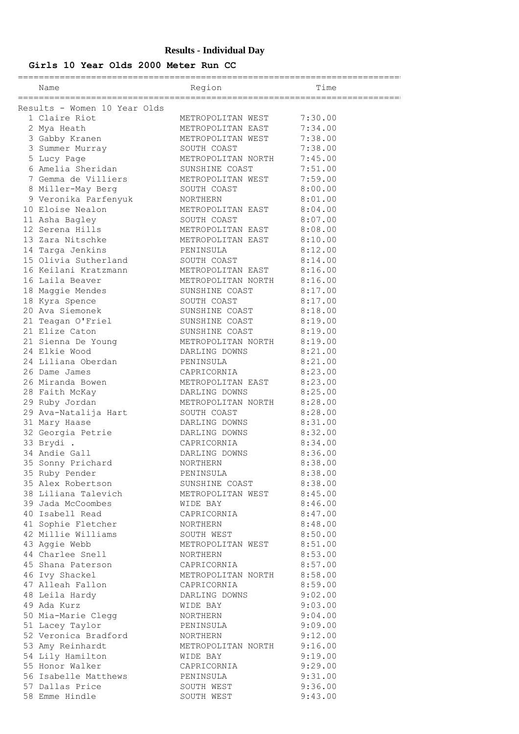# **Results - Individual Day**

# **Girls 10 Year Olds 2000 Meter Run CC**

========================================================================== Name Time ==========================================================================

| Results - Women 10 Year Olds<br>Results - Novem 10 Year 01ds<br>2 Calife and the METROPOLITAN WEST<br>2 Oxygi Heath METROPOLITAN WEST<br>2 Oxygi Heath METROPOLITAN WEST<br>3 Summer Nurray METROPOLITAN WEST<br>3 Summer Nurray METROPOLITAN WEST<br>3 Summer Nurray MET |                      |                           |         |
|---------------------------------------------------------------------------------------------------------------------------------------------------------------------------------------------------------------------------------------------------------------------------|----------------------|---------------------------|---------|
|                                                                                                                                                                                                                                                                           |                      |                           |         |
|                                                                                                                                                                                                                                                                           |                      |                           |         |
|                                                                                                                                                                                                                                                                           |                      |                           |         |
|                                                                                                                                                                                                                                                                           |                      |                           |         |
|                                                                                                                                                                                                                                                                           |                      |                           |         |
|                                                                                                                                                                                                                                                                           |                      |                           |         |
|                                                                                                                                                                                                                                                                           |                      |                           |         |
|                                                                                                                                                                                                                                                                           |                      |                           |         |
|                                                                                                                                                                                                                                                                           |                      |                           |         |
|                                                                                                                                                                                                                                                                           |                      |                           |         |
|                                                                                                                                                                                                                                                                           |                      |                           |         |
|                                                                                                                                                                                                                                                                           |                      |                           |         |
|                                                                                                                                                                                                                                                                           |                      |                           |         |
|                                                                                                                                                                                                                                                                           |                      |                           |         |
|                                                                                                                                                                                                                                                                           |                      |                           |         |
|                                                                                                                                                                                                                                                                           |                      |                           |         |
|                                                                                                                                                                                                                                                                           |                      |                           |         |
|                                                                                                                                                                                                                                                                           |                      |                           |         |
|                                                                                                                                                                                                                                                                           |                      |                           |         |
|                                                                                                                                                                                                                                                                           |                      |                           |         |
|                                                                                                                                                                                                                                                                           |                      |                           |         |
|                                                                                                                                                                                                                                                                           |                      |                           |         |
|                                                                                                                                                                                                                                                                           |                      |                           |         |
|                                                                                                                                                                                                                                                                           |                      |                           |         |
|                                                                                                                                                                                                                                                                           |                      |                           |         |
|                                                                                                                                                                                                                                                                           |                      |                           |         |
|                                                                                                                                                                                                                                                                           |                      |                           |         |
|                                                                                                                                                                                                                                                                           |                      |                           |         |
|                                                                                                                                                                                                                                                                           |                      |                           |         |
|                                                                                                                                                                                                                                                                           |                      |                           |         |
|                                                                                                                                                                                                                                                                           |                      |                           |         |
|                                                                                                                                                                                                                                                                           |                      |                           |         |
|                                                                                                                                                                                                                                                                           |                      |                           |         |
|                                                                                                                                                                                                                                                                           |                      |                           |         |
|                                                                                                                                                                                                                                                                           |                      |                           |         |
|                                                                                                                                                                                                                                                                           |                      |                           |         |
|                                                                                                                                                                                                                                                                           |                      |                           |         |
|                                                                                                                                                                                                                                                                           |                      |                           |         |
|                                                                                                                                                                                                                                                                           | 38 Liliana Talevich  | METROPOLITAN WEST         | 8:45.00 |
|                                                                                                                                                                                                                                                                           | 39 Jada McCoombes    | WIDE BAY                  | 8:46.00 |
|                                                                                                                                                                                                                                                                           | 40 Isabell Read      | CAPRICORNIA               | 8:47.00 |
|                                                                                                                                                                                                                                                                           | 41 Sophie Fletcher   | NORTHERN                  | 8:48.00 |
|                                                                                                                                                                                                                                                                           | 42 Millie Williams   | SOUTH WEST                | 8:50.00 |
|                                                                                                                                                                                                                                                                           |                      |                           |         |
|                                                                                                                                                                                                                                                                           | 43 Aggie Webb        | METROPOLITAN WEST 8:51.00 |         |
|                                                                                                                                                                                                                                                                           | 44 Charlee Snell     | NORTHERN                  | 8:53.00 |
|                                                                                                                                                                                                                                                                           | 45 Shana Paterson    | CAPRICORNIA               | 8:57.00 |
|                                                                                                                                                                                                                                                                           | 46 Ivy Shackel       | METROPOLITAN NORTH        | 8:58.00 |
|                                                                                                                                                                                                                                                                           | 47 Alleah Fallon     | CAPRICORNIA               | 8:59.00 |
|                                                                                                                                                                                                                                                                           | 48 Leila Hardy       | DARLING DOWNS             | 9:02.00 |
|                                                                                                                                                                                                                                                                           | 49 Ada Kurz          | WIDE BAY                  | 9:03.00 |
|                                                                                                                                                                                                                                                                           | 50 Mia-Marie Clegg   | NORTHERN                  | 9:04.00 |
|                                                                                                                                                                                                                                                                           | 51 Lacey Taylor      | PENINSULA                 | 9:09.00 |
|                                                                                                                                                                                                                                                                           | 52 Veronica Bradford | NORTHERN                  | 9:12.00 |
|                                                                                                                                                                                                                                                                           | 53 Amy Reinhardt     | METROPOLITAN NORTH        | 9:16.00 |
|                                                                                                                                                                                                                                                                           | 54 Lily Hamilton     | WIDE BAY                  | 9:19.00 |
|                                                                                                                                                                                                                                                                           | 55 Honor Walker      | CAPRICORNIA               | 9:29.00 |
|                                                                                                                                                                                                                                                                           | 56 Isabelle Matthews | PENINSULA                 | 9:31.00 |
|                                                                                                                                                                                                                                                                           | 57 Dallas Price      | SOUTH WEST                | 9:36.00 |
|                                                                                                                                                                                                                                                                           | 58 Emme Hindle       | SOUTH WEST                | 9:43.00 |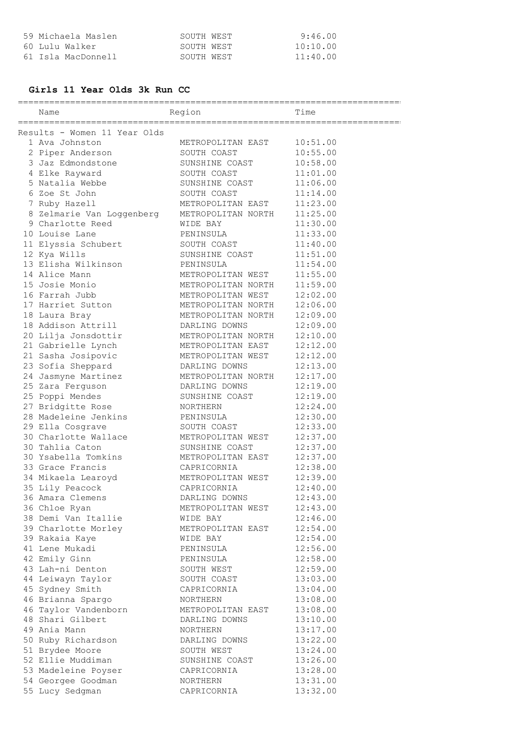| 59 Michaela Maslen | SOUTH WEST | 9:46.00  |
|--------------------|------------|----------|
| 60 Lulu Walker     | SOUTH WEST | 10:10.00 |
| 61 Isla MacDonnell | SOUTH WEST | 11:40.00 |

#### **Girls 11 Year Olds 3k Run CC**

========================================================================== Name Region Region Time ========================================================================== Results - Women 11 Year Olds 1 Ava Johnston METROPOLITAN EAST 10:51.00 2 Piper Anderson SOUTH COAST 10:55.00 3 Jaz Edmondstone SUNSHINE COAST 10:58.00 4 Elke Rayward SOUTH COAST 11:01.00 5 Natalia Webbe SUNSHINE COAST 11:06.00 6 Zoe St John SOUTH COAST 11:14.00 7 Ruby Hazell METROPOLITAN EAST 11:23.00 8 Zelmarie Van Loggenberg METROPOLITAN NORTH 11:25.00 9 Charlotte Reed WIDE BAY 11:30.00 10 Louise Lane **PENINSULA** 11:33.00 11 Elyssia Schubert SOUTH COAST 11:40.00 12 Kya Wills SUNSHINE COAST 11:51.00 13 Elisha Wilkinson PENINSULA 11:54.00 14 Alice Mann METROPOLITAN WEST 11:55.00 15 Josie Monio METROPOLITAN NORTH 11:59.00 16 Farrah Jubb METROPOLITAN WEST 12:02.00 17 Harriet Sutton METROPOLITAN NORTH 12:06.00 18 Laura Bray METROPOLITAN NORTH 12:09.00 18 Addison Attrill DARLING DOWNS 12:09.00 20 Lilja Jonsdottir METROPOLITAN NORTH 12:10.00 21 Gabrielle Lynch METROPOLITAN EAST 12:12.00 21 Sasha Josipovic METROPOLITAN WEST 12:12.00 23 Sofia Sheppard DARLING DOWNS 12:13.00 24 Jasmyne Martinez METROPOLITAN NORTH 12:17.00 25 Zara Ferguson DARLING DOWNS 12:19.00 25 Poppi Mendes SUNSHINE COAST 12:19.00 27 Bridgitte Rose NORTHERN 12:24.00 28 Madeleine Jenkins PENINSULA 12:30.00 29 Ella Cosgrave SOUTH COAST 12:33.00 30 Charlotte Wallace METROPOLITAN WEST 12:37.00 30 Tahlia Caton SUNSHINE COAST 12:37.00 30 Ysabella Tomkins METROPOLITAN EAST 12:37.00 33 Grace Francis CAPRICORNIA 12:38.00 34 Mikaela Learoyd METROPOLITAN WEST 12:39.00 35 Lily Peacock CAPRICORNIA 12:40.00 36 Amara Clemens DARLING DOWNS 12:43.00 36 Chloe Ryan METROPOLITAN WEST 12:43.00 38 Demi Van Itallie WIDE BAY 12:46.00 39 Charlotte Morley METROPOLITAN EAST 12:54.00 39 Rakaia Kaye WIDE BAY 12:54.00 41 Lene Mukadi PENINSULA 12:56.00 42 Emily Ginn PENINSULA 12:58.00 43 Lah-ni Denton SOUTH WEST 12:59.00 44 Leiwayn Taylor SOUTH COAST 13:03.00 45 Sydney Smith CAPRICORNIA 13:04.00 46 Brianna Spargo NORTHERN 13:08.00 46 Taylor Vandenborn METROPOLITAN EAST 13:08.00 48 Shari Gilbert DARLING DOWNS 13:10.00 49 Ania Mann NORTHERN 13:17.00 50 Ruby Richardson DARLING DOWNS 13:22.00 51 Brydee Moore SOUTH WEST 13:24.00 52 Ellie Muddiman SUNSHINE COAST 13:26.00 53 Madeleine Poyser CAPRICORNIA 13:28.00 54 Georgee Goodman NORTHERN 13:31.00 55 Lucy Sedgman CAPRICORNIA 13:32.00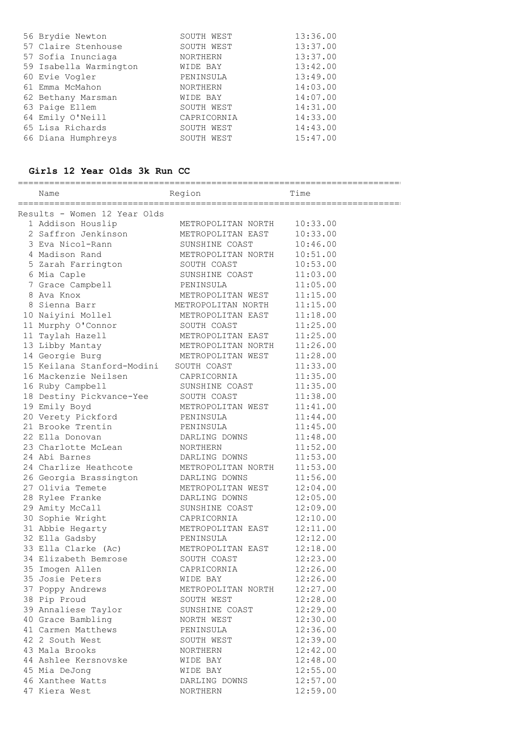| 56 Brydie Newton       | SOUTH WEST      | 13:36.00 |
|------------------------|-----------------|----------|
| 57 Claire Stenhouse    | SOUTH WEST      | 13:37.00 |
| 57 Sofia Inunciaga     | <b>NORTHERN</b> | 13:37.00 |
| 59 Isabella Warmington | WIDE BAY        | 13:42.00 |
| 60 Evie Vogler         | PENINSULA       | 13:49.00 |
| 61 Emma McMahon        | <b>NORTHERN</b> | 14:03.00 |
| 62 Bethany Marsman     | WIDE BAY        | 14:07.00 |
| 63 Paige Ellem         | SOUTH WEST      | 14:31.00 |
| 64 Emily O'Neill       | CAPRICORNIA     | 14:33.00 |
| 65 Lisa Richards       | SOUTH WEST      | 14:43.00 |
| 66 Diana Humphreys     | SOUTH WEST      | 15:47.00 |

# **Girls 12 Year Olds 3k Run CC**

| Name                                                     | Region                           | Time                 |
|----------------------------------------------------------|----------------------------------|----------------------|
| Results - Women 12 Year Olds                             |                                  |                      |
| 1 Addison Houslip                                        | METROPOLITAN NORTH               |                      |
| 2 Saffron Jenkinson                                      | METROPOLITAN EAST                | 10:33.00<br>10:33.00 |
| 3 Eva Nicol-Rann                                         | SUNSHINE COAST                   | 10:46.00             |
| 4 Madison Rand                                           |                                  |                      |
|                                                          | METROPOLITAN NORTH               | 10:51.00             |
| 5 Zarah Farrington                                       | SOUTH COAST                      | 10:53.00<br>11:03.00 |
| 6 Mia Caple                                              | SUNSHINE COAST                   |                      |
| 7 Grace Campbell                                         | PENINSULA                        | 11:05.00             |
| 8 Ava Knox                                               | METROPOLITAN WEST                | 11:15.00             |
| 8 Sienna Barr                                            | METROPOLITAN NORTH               | 11:15.00             |
| 10 Naiyini Mollel                                        | METROPOLITAN EAST                | 11:18.00             |
| 11 Murphy O'Connor                                       | SOUTH COAST                      | 11:25.00             |
| 11 Taylah Hazell                                         | METROPOLITAN EAST                | 11:25.00             |
| 13 Libby Mantay                                          | METROPOLITAN NORTH               | 11:26.00             |
| 14 Georgie Burg<br>15 Keilana Stanford-Modini            | METROPOLITAN WEST                | 11:28.00             |
| 16 Mackenzie Neilsen                                     | SOUTH COAST                      | 11:33.00             |
|                                                          | CAPRICORNIA                      | 11:35.00             |
| 16 Ruby Campbell                                         | SUNSHINE COAST                   | 11:35.00             |
| 18 Destiny Pickvance-Yee                                 | SOUTH COAST                      | 11:38.00             |
| 19 Emily Boyd                                            | METROPOLITAN WEST                | 11:41.00             |
| 20 Verety Pickford<br>21 Brooke Trentin                  | PENINSULA<br>PENINSULA           | 11:44.00<br>11:45.00 |
| 22 Ella Donovan                                          |                                  |                      |
| 23 Charlotte McLean                                      | DARLING DOWNS<br>NORTHERN        | 11:48.00<br>11:52.00 |
| 24 Abi Barnes                                            | DARLING DOWNS                    | 11:53.00             |
| 24 Charlize Heathcote                                    |                                  |                      |
|                                                          | METROPOLITAN NORTH               | 11:53.00             |
| 26 Georgia Brassington DARLING DOWNS<br>27 Olivia Temete |                                  | 11:56.00             |
|                                                          | METROPOLITAN WEST                | 12:04.00             |
| 28 Rylee Franke                                          | DARLING DOWNS                    | 12:05.00             |
| 29 Amity McCall<br>30 Sophie Wright                      | SUNSHINE COAST                   | 12:09.00             |
|                                                          | CAPRICORNIA                      | 12:10.00             |
| 31 Abbie Hegarty                                         | METROPOLITAN EAST<br>PENINSULA   | 12:11.00             |
| 32 Ella Gadsby<br>33 Ella Clarke (Ac)                    | METROPOLITAN EAST                | 12:12.00             |
| 34 Elizabeth Bemrose                                     | SOUTH COAST                      | 12:18.00<br>12:23.00 |
| 35 Imogen Allen                                          | CAPRICORNIA                      | 12:26.00             |
| 35 Josie Peters                                          |                                  | 12:26.00             |
| 37 Poppy Andrews                                         | WIDE BAY                         | 12:27.00             |
| 38 Pip Proud                                             | METROPOLITAN NORTH<br>SOUTH WEST | 12:28.00             |
| 39 Annaliese Taylor                                      | SUNSHINE COAST                   | 12:29.00             |
| 40 Grace Bambling                                        |                                  | 12:30.00             |
| 41 Carmen Matthews                                       | NORTH WEST                       | 12:36.00             |
| 42 2 South West                                          | PENINSULA                        | 12:39.00             |
|                                                          | SOUTH WEST                       |                      |
| 43 Mala Brooks                                           | NORTHERN                         | 12:42.00<br>12:48.00 |
| 44 Ashlee Kersnovske                                     | WIDE BAY                         |                      |
| 45 Mia DeJong<br>46 Xanthee Watts                        | WIDE BAY                         | 12:55.00<br>12:57.00 |
| 47 Kiera West                                            | DARLING DOWNS<br>NORTHERN        | 12:59.00             |
|                                                          |                                  |                      |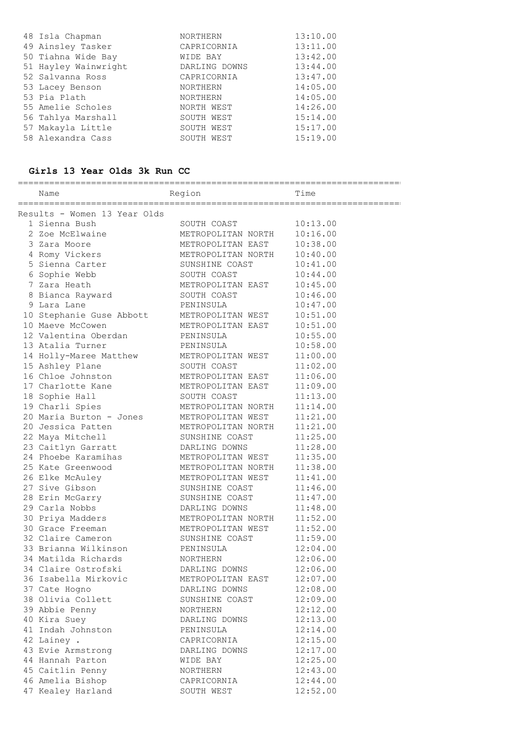| 48 Isla Chapman      | NORTHERN        | 13:10.00 |
|----------------------|-----------------|----------|
| 49 Ainsley Tasker    | CAPRICORNIA     | 13:11.00 |
| 50 Tiahna Wide Bay   | WIDE BAY        | 13:42.00 |
| 51 Hayley Wainwright | DARLING DOWNS   | 13:44.00 |
| 52 Salvanna Ross     | CAPRICORNIA     | 13:47.00 |
| 53 Lacey Benson      | <b>NORTHERN</b> | 14:05.00 |
| 53 Pia Plath         | <b>NORTHERN</b> | 14:05.00 |
| 55 Amelie Scholes    | NORTH WEST      | 14:26.00 |
| 56 Tahlya Marshall   | SOUTH WEST      | 15:14.00 |
| 57 Makayla Little    | SOUTH WEST      | 15:17.00 |
| 58 Alexandra Cass    | SOUTH WEST      | 15:19.00 |

### **Girls 13 Year Olds 3k Run CC**

| Name                                                                                                                      | Region                                                                     | Time                 |
|---------------------------------------------------------------------------------------------------------------------------|----------------------------------------------------------------------------|----------------------|
| Results - Women 13 Year Olds                                                                                              |                                                                            |                      |
| 1 Sienna Bush                                                                                                             | SOUTH COAST                                                                | 10:13.00             |
| 2 Zoe McElwaine                                                                                                           | METROPOLITAN NORTH                                                         | 10:16.00             |
| 3 Zara Moore                                                                                                              | METROPOLITAN EAST                                                          | 10:38.00             |
| 4 Romy Vickers                                                                                                            | METROPOLITAN NORTH                                                         | 10:40.00             |
| 5 Sienna Carter                                                                                                           | SUNSHINE COAST                                                             | 10:41.00             |
| 6 Sophie Webb                                                                                                             | SOUTH COAST                                                                | 10:44.00             |
| 7 Zara Heath                                                                                                              | METROPOLITAN EAST                                                          | 10:45.00             |
| 8 Bianca Rayward                 SOUTH COAST                                                                              |                                                                            | 10:46.00             |
| 9 Lara Lane                                                                                                               | PENINSULA                                                                  | 10:47.00             |
|                                                                                                                           |                                                                            | 10:51.00             |
| 10 Stephanie Guse Abbott METROPOLITAN WEST<br>10 Maeve McCowen                                                            |                                                                            | 10:51.00             |
| 12 Valentina Oberdan                                                                                                      | METROPOLITAN EAST<br>PENINSULA                                             | 10:55.00             |
|                                                                                                                           |                                                                            | 10:58.00             |
|                                                                                                                           |                                                                            |                      |
| And the matchew PENINSULA<br>14 Holly-Maree Matthew METROPOLITAN WEST<br>15 Ashley Plane SOUTH COAST<br>16 Chloe Johnston |                                                                            | 11:00.00<br>11:02.00 |
| 16 Chloe Johnston                                                                                                         | METROPOLITAN EAST                                                          |                      |
| 17 Charlotte Kane                                                                                                         | METROPOLITAN EAST                                                          | 11:06.00             |
|                                                                                                                           | SOUTH COAST                                                                | 11:09.00             |
| 18 Sophie Hall<br>19 Charli Spies                                                                                         | METROPOLITAN NORTH                                                         | 11:13.00<br>11:14.00 |
| 20 Maria Burton - Jones METROPOLITAN WEST                                                                                 |                                                                            | 11:21.00             |
| 20 Jessica Patten                                                                                                         | METROPOLITAN NORTH                                                         | 11:21.00             |
|                                                                                                                           | SUNSHINE COAST                                                             | 11:25.00             |
| 22 Maya Mitchell<br>23 Caitlyn Garratt DARLING DOWNS                                                                      |                                                                            | 11:28.00             |
| 24 Phoebe Karamihas METROPOLITAN WEST                                                                                     |                                                                            | 11:35.00             |
| 25 Kate Greenwood                                                                                                         |                                                                            |                      |
|                                                                                                                           | METROPOLITAN NORTH                                                         | 11:38.00             |
| 26 Elke McAuley                                                                                                           | METROPOLITAN WEST                                                          | 11:41.00             |
| 27 Sive Gibson                                                                                                            | SUNSHINE COAST                                                             | 11:46.00             |
| 28 Erin McGarry                                                                                                           | SUNSHINE COAST                                                             | 11:47.00             |
| 29 Carla Nobbs                                                                                                            |                                                                            | 11:48.00             |
| 30 Priya Madders                                                                                                          |                                                                            | 11:52.00             |
| 30 Grace Freeman<br>32 Claire Cameron                                                                                     | DARLING DOWNS<br>METROPOLITAN NORTH<br>METROPOLITAN WEST<br>SUNSHINE COAST | 11:52.00             |
|                                                                                                                           | PENINSULA                                                                  | 11:59.00             |
| 33 Brianna Wilkinson<br>34 Matilda Richards                                                                               |                                                                            | 12:04.00             |
|                                                                                                                           | NORTHERN                                                                   | 12:06.00<br>12:06.00 |
| 34 Claire Ostrofski                                                                                                       | DARLING DOWNS<br>METROPOLITAN EAST                                         | 12:07.00             |
| 36 Isabella Mirkovic                                                                                                      | DARLING DOWNS                                                              | 12:08.00             |
| 37 Cate Hogno                                                                                                             |                                                                            |                      |
| 38 Olivia Collett                                                                                                         | SUNSHINE COAST                                                             | 12:09.00             |
| 39 Abbie Penny                                                                                                            | NORTHERN                                                                   | 12:12.00             |
| 40 Kira Suey                                                                                                              | DARLING DOWNS                                                              | 12:13.00             |
| 41 Indah Johnston                                                                                                         | PENINSULA                                                                  | 12:14.00             |
| 42 Lainey .                                                                                                               | CAPRICORNIA                                                                | 12:15.00             |
| 43 Evie Armstrong                                                                                                         | DARLING DOWNS                                                              | 12:17.00             |
| 44 Hannah Parton                                                                                                          | WIDE BAY                                                                   | 12:25.00             |
| 45 Caitlin Penny                                                                                                          | NORTHERN                                                                   | 12:43.00             |
| 46 Amelia Bishop                                                                                                          | CAPRICORNIA                                                                | 12:44.00             |
| 47 Kealey Harland                                                                                                         | SOUTH WEST                                                                 | 12:52.00             |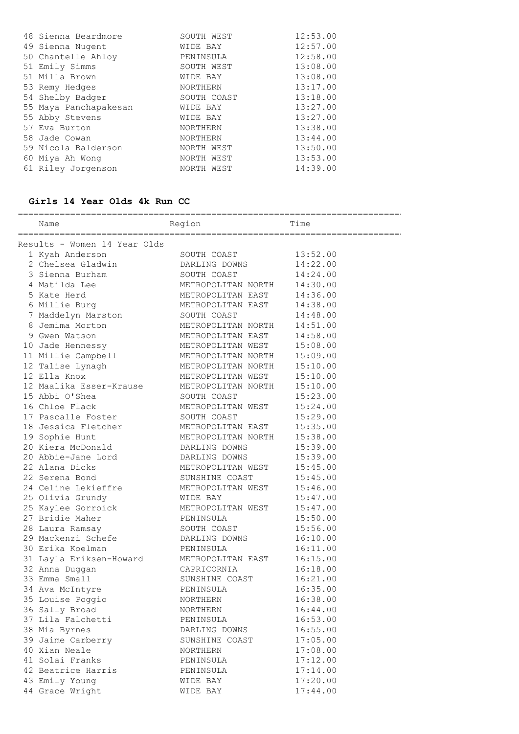|               | 48 Sienna Beardmore   | SOUTH WEST  | 12:53.00 |
|---------------|-----------------------|-------------|----------|
|               | 49 Sienna Nugent      | WIDE BAY    | 12:57.00 |
|               | 50 Chantelle Ahloy    | PENINSULA   | 12:58.00 |
|               | 51 Emily Simms        | SOUTH WEST  | 13:08.00 |
|               | 51 Milla Brown        | WIDE BAY    | 13:08.00 |
|               | 53 Remy Hedges        | NORTHERN    | 13:17.00 |
|               | 54 Shelby Badger      | SOUTH COAST | 13:18.00 |
|               | 55 Maya Panchapakesan | WIDE BAY    | 13:27.00 |
|               | 55 Abby Stevens       | WIDE BAY    | 13:27.00 |
| 57 Eva Burton |                       | NORTHERN    | 13:38.00 |
| 58 Jade Cowan |                       | NORTHERN    | 13:44.00 |
|               | 59 Nicola Balderson   | NORTH WEST  | 13:50.00 |
|               | 60 Miya Ah Wong       | NORTH WEST  | 13:53.00 |
|               | 61 Riley Jorgenson    | NORTH WEST  | 14:39.00 |
|               |                       |             |          |

==========================================================================

# **Girls 14 Year Olds 4k Run CC**

| Name                                                  | Region                                                                                                            | Time                 |  |  |  |
|-------------------------------------------------------|-------------------------------------------------------------------------------------------------------------------|----------------------|--|--|--|
| Results - Women 14 Year Olds                          |                                                                                                                   |                      |  |  |  |
| 1 Kyah Anderson                                       | Frame Constant of the SOUTH COAST CONNS<br>SOUTH COAST METROPOLITAN NORTH<br>METROPOLITAN NORTH METROPOLITAN EAST | 13:52.00             |  |  |  |
| 2 Chelsea Gladwin                                     |                                                                                                                   | 14:22.00             |  |  |  |
| 3 Sienna Burham                                       |                                                                                                                   | 14:24.00             |  |  |  |
| 4 Matilda Lee                                         |                                                                                                                   | 14:30.00             |  |  |  |
| 5 Kate Herd                                           |                                                                                                                   | 14:36.00             |  |  |  |
| 6 Millie Burg                                         | METROPOLITAN EAST                                                                                                 | 14:38.00             |  |  |  |
| 7 Maddelyn Marston                                    | SOUTH COAST                                                                                                       | 14:48.00             |  |  |  |
| 8 Jemima Morton                                       | METROPOLITAN NORTH                                                                                                | 14:51.00             |  |  |  |
| 9 Gwen Watson                                         | METROPOLITAN EAST                                                                                                 | 14:58.00             |  |  |  |
| 10 Jade Hennessy                                      | METROPOLITAN WEST                                                                                                 | 15:08.00             |  |  |  |
| 11 Millie Campbell METROPOLITAN NORTH                 |                                                                                                                   | 15:09.00             |  |  |  |
| 12 Talise Lynagh                                      | METROPOLITAN NORTH                                                                                                | 15:10.00             |  |  |  |
| 12 Ella Knox                                          | METROPOLITAN WEST                                                                                                 | 15:10.00             |  |  |  |
| 12 Maalika Esser-Krause METROPOLITAN NORTH            |                                                                                                                   | 15:10.00             |  |  |  |
| 15 Abbi O'Shea                                        | SOUTH COAST                                                                                                       | 15:23.00             |  |  |  |
| 16 Chloe Flack                                        | METROPOLITAN WEST                                                                                                 | 15:24.00             |  |  |  |
| 17 Pascalle Foster                                    |                                                                                                                   | 15:29.00             |  |  |  |
| 18 Jessica Fletcher                                   | SOUTH COAST<br>METROPOLITAN EAST<br>METROPOLITAN NORTH<br>DARLING DOWNS                                           | 15:35.00             |  |  |  |
| 19 Sophie Hunt<br>19 Sophie Hunt<br>20 Kiera McDonald |                                                                                                                   | 15:38.00             |  |  |  |
|                                                       |                                                                                                                   | 15:39.00             |  |  |  |
| 20 Abbie-Jane Lord                                    | DARLING DOWNS<br>DARLING DOWNS<br>METROPOLITAN WEST                                                               | 15:39.00             |  |  |  |
| 22 Alana Dicks                                        |                                                                                                                   | 15:45.00             |  |  |  |
| 22 Serena Bond                                        | SUNSHINE COAST                                                                                                    | 15:45.00             |  |  |  |
| 24 Celine Lekieffre METROPOLITAN WEST                 |                                                                                                                   | 15:46.00             |  |  |  |
| 25 Olivia Grundy                                      | WIDE BAY                                                                                                          | 15:47.00             |  |  |  |
| 25 Kaylee Gorroick METROPOLITAN WEST                  |                                                                                                                   | 15:47.00             |  |  |  |
| 27 Bridie Maher                                       | PENINSULA                                                                                                         | 15:50.00             |  |  |  |
| 28 Laura Ramsay                                       | SOUTH COAST                                                                                                       | 15:56.00             |  |  |  |
| 29 Mackenzi Schefe CDARLING DOWNS                     |                                                                                                                   | 16:10.00             |  |  |  |
| 30 Erika Koelman                                      | PENINSULA                                                                                                         | 16:11.00             |  |  |  |
| 31 Layla Eriksen-Howard METROPOLITAN EAST             |                                                                                                                   | 16:15.00             |  |  |  |
| 32 Anna Duggan                                        | CAPRICORNIA                                                                                                       | 16:18.00             |  |  |  |
| 33 Emma Sudall<br>34 Ava McIntyre<br>194 Poggio       | SUNSHINE COAST<br>PENINSULA                                                                                       | 16:21.00             |  |  |  |
|                                                       |                                                                                                                   | 16:35.00             |  |  |  |
|                                                       | NORTHERN<br>NORTHERN                                                                                              | 16:38.00<br>16:44.00 |  |  |  |
| 36 Sally Broad<br>37 Lila Falchetti                   | PENINSULA                                                                                                         | 16:53.00             |  |  |  |
| 38 Mia Byrnes                                         | DARLING DOWNS                                                                                                     | 16:55.00             |  |  |  |
| 39 Jaime Carberry                                     |                                                                                                                   |                      |  |  |  |
| 40 Xian Neale                                         | SUNSHINE COAST<br>NORTHERN                                                                                        | 17:05.00<br>17:08.00 |  |  |  |
| 41 Solai Franks                                       | PENINSULA                                                                                                         | 17:12.00             |  |  |  |
| 42 Beatrice Harris                                    | PENINSULA                                                                                                         | 17:14.00             |  |  |  |
| 43 Emily Young                                        | WIDE BAY                                                                                                          | 17:20.00             |  |  |  |
| 44 Grace Wright                                       | WIDE BAY                                                                                                          | 17:44.00             |  |  |  |
|                                                       |                                                                                                                   |                      |  |  |  |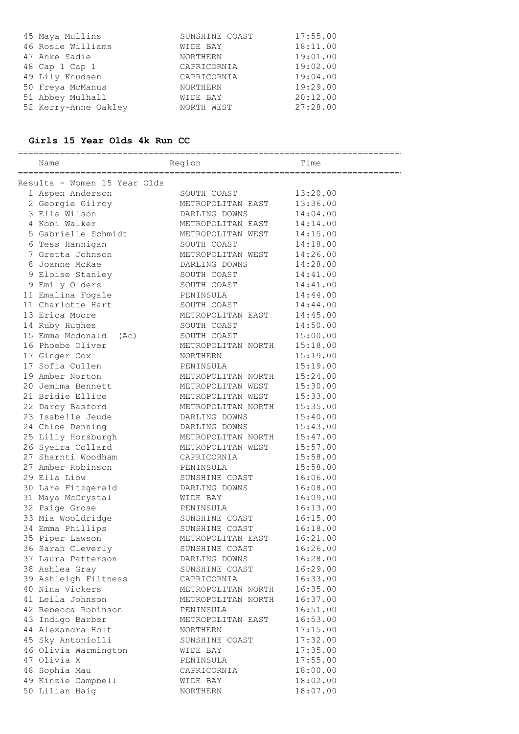| 45 Maya Mullins      | SUNSHINE COAST  | 17:55.00 |
|----------------------|-----------------|----------|
| 46 Rosie Williams    | WIDE BAY        | 18:11.00 |
| 47 Anke Sadie        | <b>NORTHERN</b> | 19:01.00 |
| 48 Cap 1 Cap 1       | CAPRICORNIA     | 19:02.00 |
| 49 Lily Knudsen      | CAPRICORNIA     | 19:04.00 |
| 50 Freya McManus     | <b>NORTHERN</b> | 19:29.00 |
| 51 Abbey Mulhall     | WIDE BAY        | 20:12.00 |
| 52 Kerry-Anne Oakley | NORTH WEST      | 27:28.00 |

# **Girls 15 Year Olds 4k Run CC**

| ===============<br>===================  |                                    |                      |  |
|-----------------------------------------|------------------------------------|----------------------|--|
| Name                                    | Region                             | Time                 |  |
| ==================================      |                                    |                      |  |
| Results - Women 15 Year Olds            | SOUTH COAST                        |                      |  |
| 1 Aspen Anderson                        | METROPOLITAN EAST                  | 13:20.00<br>13:36.00 |  |
| 2 Georgie Gilroy<br>3 Ella Wilson       | DARLING DOWNS                      | 14:04.00             |  |
| 4 Kobi Walker                           | METROPOLITAN EAST                  |                      |  |
|                                         |                                    | 14:14.00             |  |
| 5 Gabrielle Schmidt METROPOLITAN WEST   |                                    | 14:15.00             |  |
| 6 Tess Hannigan<br>7 Gretta Johnson     | SOUTH COAST                        | 14:18.00             |  |
| 8 Joanne McRae                          | METROPOLITAN WEST<br>DARLING DOWNS | 14:26.00             |  |
|                                         |                                    | 14:28.00             |  |
| 9 Eloise Stanley                        | SOUTH COAST                        | 14:41.00             |  |
| 9 Emily Olders                          | SOUTH COAST                        | 14:41.00             |  |
| 11 Emalina Fogale                       | PENINSULA                          | 14:44.00             |  |
| 11 Charlotte Hart<br>13 Erica Moore     | SOUTH COAST                        | 14:44.00             |  |
|                                         | METROPOLITAN EAST                  | 14:45.00             |  |
| 14 Ruby Hughes<br>15 Emma Mcdonald (Ac) | SOUTH COAST                        | 14:50.00             |  |
| 16 Phoebe Oliver                        | SOUTH COAST                        | 15:00.00             |  |
| 17 Ginger Cox                           | METROPOLITAN NORTH                 | 15:18.00<br>15:19.00 |  |
| 17 Sofia Cullen                         | NORTHERN                           |                      |  |
| 19 Amber Norton                         | PENINSULA<br>METROPOLITAN NORTH    | 15:19.00<br>15:24.00 |  |
| 20 Jemima Bennett                       | METROPOLITAN WEST                  | 15:30.00             |  |
| 21 Bridie Ellice                        | METROPOLITAN WEST                  | 15:33.00             |  |
| 22 Darcy Basford                        | METROPOLITAN NORTH                 | 15:35.00             |  |
| 23 Isabelle Jeude                       | DARLING DOWNS                      | 15:40.00             |  |
| 24 Chloe Denning                        | DARLING DOWNS                      | 15:43.00             |  |
| 25 Lilly Horsburgh                      | METROPOLITAN NORTH                 | 15:47.00             |  |
| 26 Syeira Collard                       | METROPOLITAN WEST                  | 15:57.00             |  |
| 27 Sharnti Woodham                      | CAPRICORNIA                        | 15:58.00             |  |
| 27 Amber Robinson                       | PENINSULA                          | 15:58.00             |  |
| 29 Ella Liow                            | SUNSHINE COAST                     | 16:06.00             |  |
| 30 Lara Fitzgerald                      | DARLING DOWNS                      | 16:08.00             |  |
| 31 Maya McCrystal                       | WIDE BAY                           | 16:09.00             |  |
| 32 Paige Grose                          | PENINSULA                          | 16:13.00             |  |
| 33 Mia Wooldridge                       | SUNSHINE COAST                     | 16:15.00             |  |
| 34 Emma Phillips                        | SUNSHINE COAST                     | 16:18.00             |  |
| 35 Piper Lawson                         | METROPOLITAN EAST                  | 16:21.00             |  |
| 36 Sarah Cleverly                       | SUNSHINE COAST                     | 16:26.00             |  |
| 37 Laura Patterson                      | DARLING DOWNS                      | 16:28.00             |  |
| 38 Ashlea Gray                          | SUNSHINE COAST                     | 16:29.00             |  |
| 39 Ashleigh Filtness                    | CAPRICORNIA                        | 16:33.00             |  |
| 40 Nina Vickers                         | METROPOLITAN NORTH                 | 16:35.00             |  |
| 41 Leila Johnson                        | METROPOLITAN NORTH                 | 16:37.00             |  |
| 42 Rebecca Robinson                     | PENINSULA                          | 16:51.00             |  |
| 43 Indigo Barber                        | METROPOLITAN EAST                  | 16:53.00             |  |
| 44 Alexandra Holt                       | NORTHERN                           | 17:15.00             |  |
| 45 Sky Antoniolli                       | SUNSHINE COAST                     | 17:32.00             |  |
| 46 Olivia Warmington                    | WIDE BAY                           | 17:35.00             |  |
| 47 Olivia X                             | PENINSULA                          | 17:55.00             |  |
| 48 Sophia Mau                           | CAPRICORNIA                        | 18:00.00             |  |
| 49 Kinzie Campbell                      | WIDE BAY                           | 18:02.00             |  |
| 50 Lilian Haig                          | NORTHERN                           | 18:07.00             |  |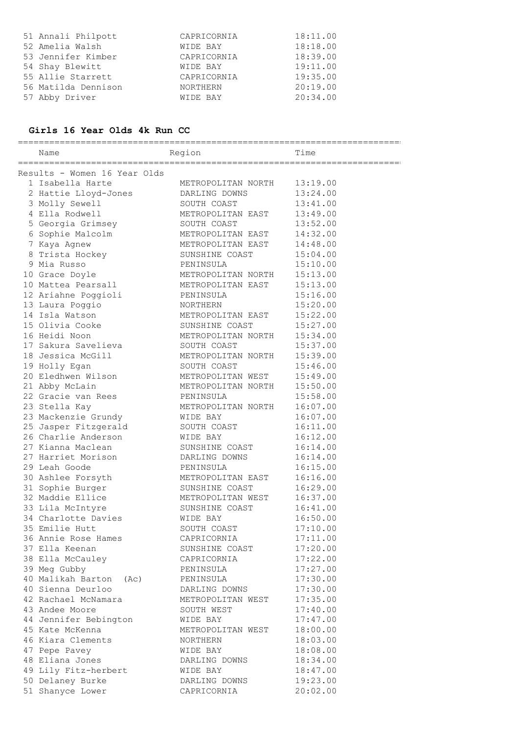| 51 Annali Philpott  | CAPRICORNIA     | 18:11.00 |
|---------------------|-----------------|----------|
| 52 Amelia Walsh     | WIDE BAY        | 18:18.00 |
| 53 Jennifer Kimber  | CAPRICORNIA     | 18:39.00 |
| 54 Shay Blewitt     | WIDE BAY        | 19:11.00 |
| 55 Allie Starrett   | CAPRICORNIA     | 19:35.00 |
| 56 Matilda Dennison | <b>NORTHERN</b> | 20:19.00 |
| 57 Abby Driver      | WIDE BAY        | 20:34.00 |

# **Girls 16 Year Olds 4k Run CC**

|  | Name                                | Region             | Time     |
|--|-------------------------------------|--------------------|----------|
|  |                                     |                    |          |
|  | Results - Women 16 Year Olds        |                    |          |
|  | 1 Isabella Harte METROPOLITAN NORTH |                    | 13:19.00 |
|  | 2 Hattie Lloyd-Jones                | DARLING DOWNS      | 13:24.00 |
|  | 3 Molly Sewell                      | SOUTH COAST        | 13:41.00 |
|  | 4 Ella Rodwell                      | METROPOLITAN EAST  | 13:49.00 |
|  | 5 Georgia Grimsey 600TH COAST       |                    | 13:52.00 |
|  | 6 Sophie Malcolm                    | METROPOLITAN EAST  | 14:32.00 |
|  | 7 Kaya Agnew                        | METROPOLITAN EAST  | 14:48.00 |
|  | 8 Trista Hockey                     | SUNSHINE COAST     | 15:04.00 |
|  | 9 Mia Russo                         | PENINSULA          | 15:10.00 |
|  | 10 Grace Doyle                      | METROPOLITAN NORTH | 15:13.00 |
|  | 10 Mattea Pearsall                  | METROPOLITAN EAST  | 15:13.00 |
|  | 12 Ariahne Poggioli                 | PENINSULA          | 15:16.00 |
|  | 13 Laura Poggio                     | NORTHERN           | 15:20.00 |
|  | 14 Isla Watson                      | METROPOLITAN EAST  | 15:22.00 |
|  | 15 Olivia Cooke                     | SUNSHINE COAST     | 15:27.00 |
|  | 16 Heidi Noon                       | METROPOLITAN NORTH | 15:34.00 |
|  | 17 Sakura Savelieva                 | SOUTH COAST        | 15:37.00 |
|  | 18 Jessica McGill                   | METROPOLITAN NORTH | 15:39.00 |
|  | 19 Holly Egan                       | SOUTH COAST        | 15:46.00 |
|  | 20 Eledhwen Wilson                  | METROPOLITAN WEST  | 15:49.00 |
|  | 21 Abby McLain                      | METROPOLITAN NORTH | 15:50.00 |
|  | 22 Gracie van Rees                  | PENINSULA          | 15:58.00 |
|  | 23 Stella Kay                       | METROPOLITAN NORTH | 16:07.00 |
|  | 23 Mackenzie Grundy                 | WIDE BAY           | 16:07.00 |
|  | 25 Jasper Fitzgerald                | SOUTH COAST        | 16:11.00 |
|  | 26 Charlie Anderson                 | WIDE BAY           | 16:12.00 |
|  | 27 Kianna Maclean                   | SUNSHINE COAST     | 16:14.00 |
|  | 27 Harriet Morison                  | DARLING DOWNS      | 16:14.00 |
|  | 29 Leah Goode                       | PENINSULA          | 16:15.00 |
|  | 30 Ashlee Forsyth                   | METROPOLITAN EAST  | 16:16.00 |
|  | 31 Sophie Burger                    | SUNSHINE COAST     | 16:29.00 |
|  | 32 Maddie Ellice                    | METROPOLITAN WEST  | 16:37.00 |
|  | 33 Lila McIntyre                    | SUNSHINE COAST     | 16:41.00 |
|  | 34 Charlotte Davies                 | WIDE BAY           | 16:50.00 |
|  | 35 Emilie Hutt                      | SOUTH COAST        | 17:10.00 |
|  | 36 Annie Rose Hames                 | CAPRICORNIA        | 17:11.00 |
|  | 37 Ella Keenan                      | SUNSHINE COAST     | 17:20.00 |
|  | 38 Ella McCauley                    | CAPRICORNIA        | 17:22.00 |
|  | 39 Meg Gubby                        | PENINSULA          | 17:27.00 |
|  | 40 Malikah Barton (Ac)              | PENINSULA          | 17:30.00 |
|  | 40 Sienna Deurloo                   | DARLING DOWNS      | 17:30.00 |
|  | 42 Rachael McNamara                 | METROPOLITAN WEST  | 17:35.00 |
|  | 43 Andee Moore                      | SOUTH WEST         | 17:40.00 |
|  | 44 Jennifer Bebington               | WIDE BAY           | 17:47.00 |
|  | 45 Kate McKenna                     | METROPOLITAN WEST  | 18:00.00 |
|  | 46 Kiara Clements                   | NORTHERN           | 18:03.00 |
|  | 47 Pepe Pavey                       | WIDE BAY           | 18:08.00 |
|  | 48 Eliana Jones                     | DARLING DOWNS      | 18:34.00 |
|  | 49 Lily Fitz-herbert                | WIDE BAY           | 18:47.00 |
|  | 50 Delaney Burke                    | DARLING DOWNS      | 19:23.00 |
|  | 51 Shanyce Lower                    | CAPRICORNIA        | 20:02.00 |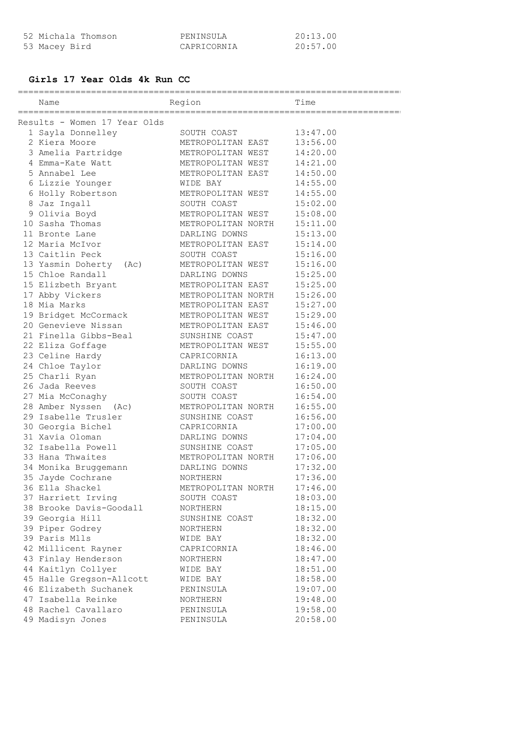| 52 Michala Thomson | PENINSULA   | 20:13.00 |
|--------------------|-------------|----------|
| 53 Macey Bird      | CAPRICORNIA | 20:57.00 |

# **Girls 17 Year Olds 4k Run CC**

| Name                                        | Region                              | Time                 |
|---------------------------------------------|-------------------------------------|----------------------|
| Results - Women 17 Year Olds                |                                     |                      |
| 1 Sayla Donnelley                           | SOUTH COAST                         | 13:47.00             |
| 2 Kiera Moore                               | METROPOLITAN EAST                   | 13:56.00             |
| 3 Amelia Partridge                          | METROPOLITAN WEST                   | 14:20.00             |
| 4 Emma-Kate Watt                            | METROPOLITAN WEST                   | 14:21.00             |
| 5 Annabel Lee                               | METROPOLITAN EAST                   | 14:50.00             |
| 6 Lizzie Younger                            | WIDE BAY                            | 14:55.00             |
| 6 Holly Robertson                           | METROPOLITAN WEST                   | 14:55.00             |
| 8 Jaz Ingall                                | SOUTH COAST                         | 15:02.00             |
| 9 Olivia Boyd                               | METROPOLITAN WEST                   | 15:08.00             |
| 10 Sasha Thomas                             | METROPOLITAN NORTH                  | 15:11.00             |
| 11 Bronte Lane                              | DARLING DOWNS                       | 15:13.00             |
| 12 Maria McIvor                             | METROPOLITAN EAST                   | 15:14.00             |
| 13 Caitlin Peck                             | SOUTH COAST                         | 15:16.00             |
| 13 Yasmin Doherty (Ac)                      | METROPOLITAN WEST                   | 15:16.00             |
| 15 Chloe Randall                            | DARLING DOWNS                       | 15:25.00             |
| 15 Elizbeth Bryant                          | METROPOLITAN EAST                   | 15:25.00             |
| 17 Abby Vickers                             | METROPOLITAN NORTH                  | 15:26.00             |
| 18 Mia Marks                                | METROPOLITAN EAST                   | 15:27.00             |
|                                             | METROPOLITAN WEST                   | 15:29.00             |
| 19 Bridget McCormack<br>20 Genevieve Nissan |                                     |                      |
| 21 Finella Gibbs-Beal                       | METROPOLITAN EAST<br>SUNSHINE COAST | 15:46.00             |
|                                             |                                     | 15:47.00             |
| 22 Eliza Goffage                            | METROPOLITAN WEST                   | 15:55.00<br>16:13.00 |
| 23 Celine Hardy                             | CAPRICORNIA<br>DARLING DOWNS        |                      |
| 24 Chloe Taylor                             | METROPOLITAN NORTH                  | 16:19.00             |
| 25 Charli Ryan                              |                                     | 16:24.00             |
| 26 Jada Reeves                              | SOUTH COAST                         | 16:50.00             |
| 27 Mia McConaghy                            | SOUTH COAST                         | 16:54.00             |
| 28 Amber Nyssen (Ac)                        | METROPOLITAN NORTH                  | 16:55.00             |
| 29 Isabelle Trusler                         | SUNSHINE COAST                      | 16:56.00             |
| 30 Georgia Bichel                           | CAPRICORNIA                         | 17:00.00             |
| 31 Xavia Oloman                             | DARLING DOWNS                       | 17:04.00             |
| 32 Isabella Powell                          | SUNSHINE COAST                      | 17:05.00             |
| 33 Hana Thwaites                            | METROPOLITAN NORTH                  | 17:06.00             |
| 34 Monika Bruggemann                        | DARLING DOWNS                       | 17:32.00             |
| 35 Jayde Cochrane                           | NORTHERN                            | 17:36.00             |
| 36 Ella Shackel                             | METROPOLITAN NORTH                  | 17:46.00             |
| 37 Harriett Irving                          | SOUTH COAST                         | 18:03.00             |
| 38 Brooke Davis-Goodall                     | NORTHERN                            | 18:15.00             |
| 39 Georgia Hill                             | SUNSHINE COAST                      | 18:32.00             |
| 39 Piper Godrey                             | NORTHERN                            | 18:32.00             |
| 39 Paris Mlls                               | WIDE BAY                            | 18:32.00             |
| 42 Millicent Rayner                         | CAPRICORNIA                         | 18:46.00             |
| 43 Finlay Henderson                         | NORTHERN                            | 18:47.00             |
| 44 Kaitlyn Collyer                          | WIDE BAY                            | 18:51.00             |
| 45 Halle Gregson-Allcott                    | WIDE BAY                            | 18:58.00             |
| 46 Elizabeth Suchanek                       | PENINSULA                           | 19:07.00             |
| 47 Isabella Reinke                          | NORTHERN                            | 19:48.00             |
| 48 Rachel Cavallaro                         | PENINSULA                           | 19:58.00             |
| 49 Madisyn Jones                            | PENINSULA                           | 20:58.00             |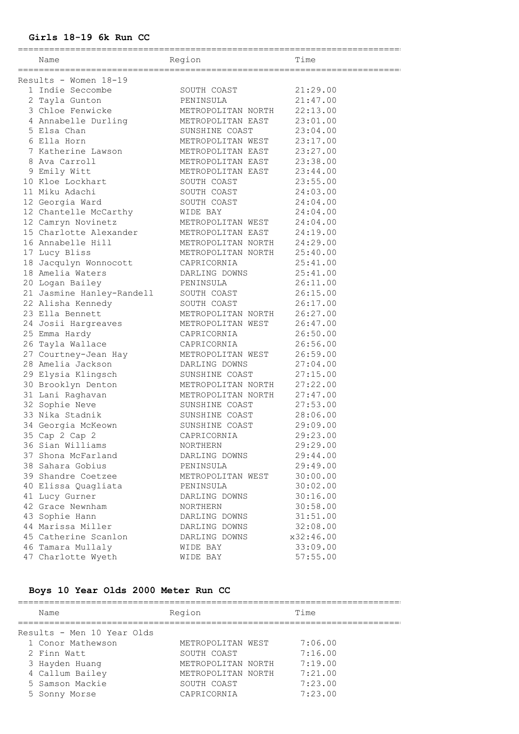### **Girls 18-19 6k Run CC**

========================================================================== Name Region Region Time ========================================================================== Results - Women 18-19 1 Indie Seccombe SOUTH COAST 21:29.00 2 Tayla Gunton PENINSULA 21:47.00 3 Chloe Fenwicke METROPOLITAN NORTH 22:13.00 4 Annabelle Durling METROPOLITAN EAST 23:01.00 5 Elsa Chan SUNSHINE COAST 23:04.00 6 Ella Horn METROPOLITAN WEST 23:17.00 7 Katherine Lawson METROPOLITAN EAST 23:27.00 8 Ava Carroll METROPOLITAN EAST 23:38.00 9 Emily Witt METROPOLITAN EAST 23:44.00 10 Kloe Lockhart SOUTH COAST 23:55.00 11 Miku Adachi SOUTH COAST 24:03.00 12 Georgia Ward SOUTH COAST 24:04.00 12 Chantelle McCarthy WIDE BAY 24:04.00 12 Camryn Novinetz METROPOLITAN WEST 24:04.00 15 Charlotte Alexander METROPOLITAN EAST 24:19.00 16 Annabelle Hill METROPOLITAN NORTH 24:29.00 17 Lucy Bliss METROPOLITAN NORTH 25:40.00 18 Jacqulyn Wonnocott CAPRICORNIA 25:41.00 18 Amelia Waters DARLING DOWNS 25:41.00 20 Logan Bailey PENINSULA 26:11.00 21 Jasmine Hanley-Randell SOUTH COAST 26:15.00 22 Alisha Kennedy SOUTH COAST 26:17.00 23 Ella Bennett METROPOLITAN NORTH 26:27.00 24 Josii Hargreaves METROPOLITAN WEST 26:47.00 25 Emma Hardy CAPRICORNIA 26:50.00 26 Tayla Wallace CAPRICORNIA 26:56.00 27 Courtney-Jean Hay METROPOLITAN WEST 26:59.00 28 Amelia Jackson DARLING DOWNS 27:04.00 29 Elysia Klingsch SUNSHINE COAST 27:15.00 30 Brooklyn Denton METROPOLITAN NORTH 27:22.00 31 Lani Raghavan METROPOLITAN NORTH 27:47.00 32 Sophie Neve SUNSHINE COAST 27:53.00 33 Nika Stadnik SUNSHINE COAST 28:06.00 34 Georgia McKeown SUNSHINE COAST 29:09.00 35 Cap 2 Cap 2 CAPRICORNIA 29:23.00 36 Sian Williams NORTHERN 29:29.00 37 Shona McFarland DARLING DOWNS 29:44.00 38 Sahara Gobius PENINSULA 29:49.00 39 Shandre Coetzee METROPOLITAN WEST 30:00.00 40 Elissa Quagliata PENINSULA 30:02.00 41 Lucy Gurner DARLING DOWNS 30:16.00 42 Grace Newnham NORTHERN 30:58.00 43 Sophie Hann DARLING DOWNS 31:51.00 44 Marissa Miller DARLING DOWNS 32:08.00 45 Catherine Scanlon DARLING DOWNS x32:46.00 46 Tamara Mullaly WIDE BAY 33:09.00

# **Boys 10 Year Olds 2000 Meter Run CC**

| Name          |                            | Region             | Time    |
|---------------|----------------------------|--------------------|---------|
|               | Results - Men 10 Year Olds |                    |         |
|               | 1 Conor Mathewson          | METROPOLITAN WEST  | 7:06.00 |
| 2 Finn Watt   |                            | SOUTH COAST        | 7:16.00 |
|               | 3 Hayden Huang             | METROPOLITAN NORTH | 7:19.00 |
|               | 4 Callum Bailey            | METROPOLITAN NORTH | 7:21.00 |
|               | 5 Samson Mackie            | SOUTH COAST        | 7:23.00 |
| 5 Sonny Morse |                            | CAPRICORNIA        | 7:23.00 |
|               |                            |                    |         |

47 Charlotte Wyeth WIDE BAY 57:55.00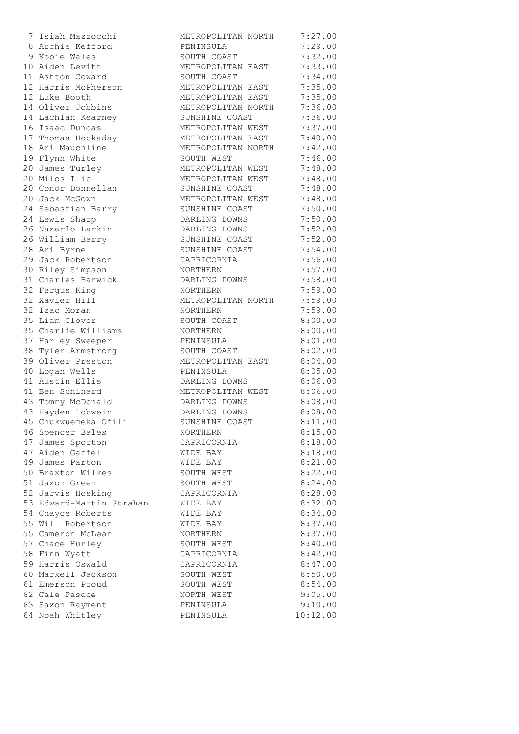| 7 Isiah Mazzocchi        | METROPOLITAN NORTH | 7:27.00            |
|--------------------------|--------------------|--------------------|
| 8 Archie Kefford         | PENINSULA          | 7:29.00            |
| 9 Kobie Wales            | SOUTH COAST        | 7:32.00            |
| 10 Aiden Levitt          | METROPOLITAN EAST  | 7:33.00            |
| 11 Ashton Coward         | SOUTH COAST        | 7:34.00            |
| 12 Harris McPherson      | METROPOLITAN EAST  | 7:35.00            |
| 12 Luke Booth            | METROPOLITAN EAST  | 7:35.00            |
| 14 Oliver Jobbins        | METROPOLITAN NORTH | 7:36.00            |
| 14 Lachlan Kearney       | SUNSHINE COAST     | 7:36.00            |
| 16 Isaac Dundas          | METROPOLITAN WEST  | 7:37.00            |
| 17 Thomas Hockaday       | METROPOLITAN EAST  | 7:40.00            |
| 18 Ari Mauchline         | METROPOLITAN NORTH | 7:42.00            |
| 19 Flynn White           | SOUTH WEST         | 7:46.00            |
| 20 James Turley          | METROPOLITAN WEST  | 7:48.00            |
| 20 Milos Ilic            | METROPOLITAN WEST  | 7:48.00            |
| 20 Conor Donnellan       | SUNSHINE COAST     | 7:48.00            |
| 20 Jack McGown           | METROPOLITAN WEST  | 7:48.00            |
| 24 Sebastian Barry       | SUNSHINE COAST     | 7:50.00            |
| 24 Lewis Sharp           | DARLING DOWNS      | 7:50.00            |
| 26 Nazarlo Larkin        | DARLING DOWNS      | 7:52.00            |
| 26 William Barry         | SUNSHINE COAST     | 7:52.00            |
| 28 Ari Byrne             | SUNSHINE COAST     | 7:54.00            |
| 29 Jack Robertson        | CAPRICORNIA        | 7:56.00            |
| 30 Riley Simpson         | NORTHERN           | 7:57.00            |
| 31 Charles Barwick       | DARLING DOWNS      | 7:58.00            |
| 32 Fergus King           | NORTHERN           | 7:59.00            |
| 32 Xavier Hill           |                    |                    |
| 32 Izac Moran            | METROPOLITAN NORTH | 7:59.00            |
| 35 Liam Glover           | NORTHERN           | 7:59.00            |
| 35 Charlie Williams      | SOUTH COAST        | 8:00.00<br>8:00.00 |
|                          | NORTHERN           |                    |
| 37 Harley Sweeper        | PENINSULA          | 8:01.00            |
| 38 Tyler Armstrong       | SOUTH COAST        | 8:02.00            |
| 39 Oliver Preston        | METROPOLITAN EAST  | 8:04.00            |
| 40 Logan Wells           | PENINSULA          | 8:05.00            |
| 41 Austin Ellis          | DARLING DOWNS      | 8:06.00            |
| 41 Ben Schinard          | METROPOLITAN WEST  | 8:06.00            |
| 43 Tommy McDonald        | DARLING DOWNS      | 8:08.00            |
| 43 Hayden Lobwein        | DARLING DOWNS      | 8:08.00            |
| 45 Chukwuemeka Ofili     | SUNSHINE COAST     | 8:11.00            |
| 46 Spencer Bales         | NORTHERN           | 8:15.00            |
| 47 James Sporton         | CAPRICORNIA        | 8:18.00            |
| 47 Aiden Gaffel          | WIDE BAY           | 8:18.00            |
| 49 James Parton          | WIDE BAY           | 8:21.00            |
| 50 Braxton Wilkes        | SOUTH WEST         | 8:22.00            |
| 51 Jaxon Green           | SOUTH WEST         | 8:24.00            |
| 52 Jarvis Hosking        | CAPRICORNIA        | 8:28.00            |
| 53 Edward-Martin Strahan | WIDE BAY           | 8:32.00            |
| 54 Chayce Roberts        | WIDE BAY           | 8:34.00            |
| 55 Will Robertson        | WIDE BAY           | 8:37.00            |
| 55 Cameron McLean        | NORTHERN           | 8:37.00            |
| 57 Chace Hurley          | SOUTH WEST         | 8:40.00            |
| 58 Finn Wyatt            | CAPRICORNIA        | 8:42.00            |
| 59 Harris Oswald         | CAPRICORNIA        | 8:47.00            |
| 60 Markell Jackson       | SOUTH WEST         | 8:50.00            |
| 61 Emerson Proud         | SOUTH WEST         | 8:54.00            |
| 62 Cale Pascoe           | NORTH WEST         | 9:05.00            |
| 63 Saxon Rayment         | PENINSULA          | 9:10.00            |
| 64 Noah Whitley          | PENINSULA          | 10:12.00           |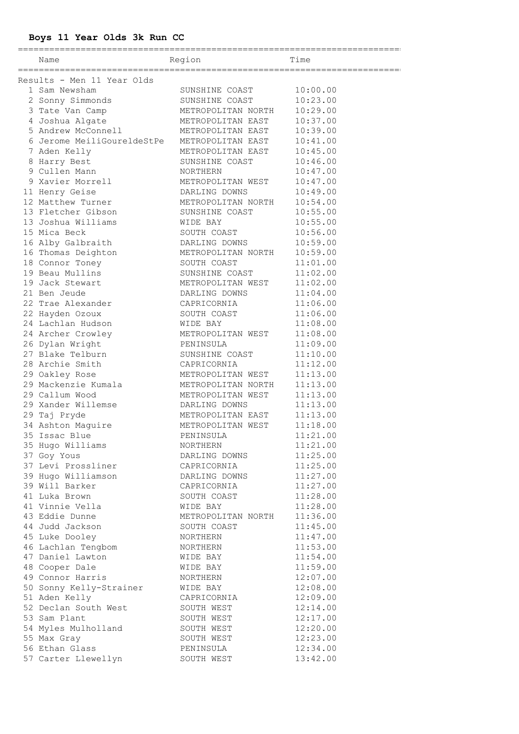**Boys 11 Year Olds 3k Run CC** ========================================================================== Name Region Region Time ========================================================================== Results - Men 11 Year Olds 1 Sam Newsham SUNSHINE COAST 10:00.00 2 Sonny Simmonds SUNSHINE COAST 10:23.00 3 Tate Van Camp METROPOLITAN NORTH 10:29.00 4 Joshua Algate METROPOLITAN EAST 10:37.00 5 Andrew McConnell METROPOLITAN EAST 10:39.00 6 Jerome MeiliGoureldeStPe METROPOLITAN EAST 10:41.00 7 Aden Kelly METROPOLITAN EAST 10:45.00 8 Harry Best SUNSHINE COAST 10:46.00 9 Cullen Mann NORTHERN 10:47.00 9 Xavier Morrell METROPOLITAN WEST 10:47.00 11 Henry Geise DARLING DOWNS 10:49.00 12 Matthew Turner METROPOLITAN NORTH 10:54.00 13 Fletcher Gibson SUNSHINE COAST 10:55.00 13 Joshua Williams WIDE BAY 10:55.00 15 Mica Beck SOUTH COAST 10:56.00 16 Alby Galbraith DARLING DOWNS 10:59.00 16 Thomas Deighton METROPOLITAN NORTH 10:59.00 18 Connor Toney SOUTH COAST 11:01.00 19 Beau Mullins SUNSHINE COAST 11:02.00 19 Jack Stewart METROPOLITAN WEST 11:02.00 21 Ben Jeude DARLING DOWNS 11:04.00 22 Trae Alexander CAPRICORNIA 11:06.00 22 Hayden Ozoux SOUTH COAST 11:06.00 24 Lachlan Hudson WIDE BAY 11:08.00 24 Archer Crowley METROPOLITAN WEST 11:08.00 26 Dylan Wright PENINSULA 11:09.00 27 Blake Telburn SUNSHINE COAST 11:10.00 28 Archie Smith CAPRICORNIA 11:12.00 29 Oakley Rose METROPOLITAN WEST 11:13.00

 29 Mackenzie Kumala METROPOLITAN NORTH 11:13.00 29 Callum Wood METROPOLITAN WEST 11:13.00 29 Xander Willemse DARLING DOWNS 11:13.00 29 Taj Pryde METROPOLITAN EAST 11:13.00 34 Ashton Maguire METROPOLITAN WEST 11:18.00 35 Issac Blue PENINSULA 11:21.00 35 Hugo Williams NORTHERN 11:21.00 37 Goy Yous DARLING DOWNS 11:25.00 37 Levi Prossliner CAPRICORNIA 11:25.00 39 Hugo Williamson DARLING DOWNS 11:27.00 39 Will Barker CAPRICORNIA 11:27.00 41 Luka Brown SOUTH COAST 11:28.00 41 Vinnie Vella WIDE BAY 11:28.00 43 Eddie Dunne METROPOLITAN NORTH 11:36.00 44 Judd Jackson SOUTH COAST 11:45.00 45 Luke Dooley NORTHERN 11:47.00 46 Lachlan Tengbom NORTHERN 11:53.00 47 Daniel Lawton WIDE BAY 11:54.00 48 Cooper Dale WIDE BAY 11:59.00 49 Connor Harris NORTHERN 12:07.00 50 Sonny Kelly-Strainer WIDE BAY 12:08.00 51 Aden Kelly CAPRICORNIA 12:09.00 52 Declan South West SOUTH WEST 12:14.00 53 Sam Plant 61 SOUTH WEST 12:17.00 54 Myles Mulholland SOUTH WEST 12:20.00 55 Max Gray SOUTH WEST 12:23.00 56 Ethan Glass **PENINSULA** 12:34.00 57 Carter Llewellyn SOUTH WEST 13:42.00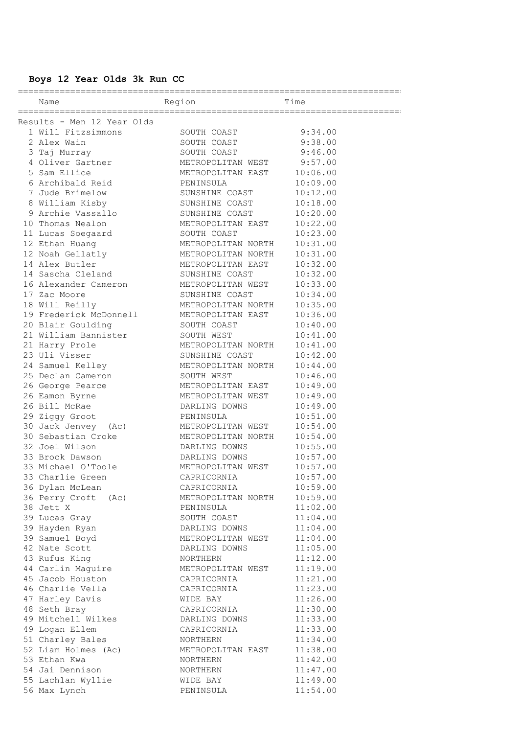# **Boys 12 Year Olds 3k Run CC**

| Name Region                           |                                                                             | Time     |
|---------------------------------------|-----------------------------------------------------------------------------|----------|
|                                       |                                                                             |          |
| Results - Men 12 Year Olds            |                                                                             |          |
| 1 Will Fitzsimmons                    | SOUTH COAST                                                                 | 9:34.00  |
|                                       | SOUTH COAST                                                                 | 9:38.00  |
| 2 Alex Wain<br>3 Taj Murray           | SOUTH COAST                                                                 | 9:46.00  |
|                                       | METROPOLITAN WEST 9:57.00<br>METROPOLITAN EAST 10:06.00                     |          |
| 4 Oliver Gartner<br>5 Sam Ellice      |                                                                             |          |
| 6 Archibald Reid                      | PENINSULA                                                                   | 10:09.00 |
| 7 Jude Brimelow                       | SUNSHINE COAST                                                              | 10:12.00 |
| 8 William Kisby                       | SUNSHINE COAST                                                              | 10:18.00 |
| 9 Archie Vassallo                     | SUNSHINE COAST                                                              | 10:20.00 |
| 10 Thomas Nealon                      | METROPOLITAN EAST                                                           | 10:22.00 |
| 11 Lucas Soegaard SOUTH COAST         |                                                                             | 10:23.00 |
| 12 Ethan Huang                        | METROPOLITAN NORTH                                                          | 10:31.00 |
| 12 Noah Gellatly                      | METROPOLITAN NORTH                                                          | 10:31.00 |
| 14 Alex Butler                        | METROPOLITAN EAST                                                           | 10:32.00 |
| 14 Sascha Cleland                     | SUNSHINE COAST                                                              | 10:32.00 |
| 16 Alexander Cameron                  |                                                                             | 10:33.00 |
| 17 Zac Moore                          | METROPOLITAN WEST                                                           | 10:34.00 |
|                                       | SUNSHINE COAST<br>SUNSHINE COAST<br>METROPOLITAN NORTH<br>METROPOLITAN EAST | 10:35.00 |
| 18 Will Reilly                        |                                                                             |          |
| 19 Frederick McDonnell                |                                                                             | 10:36.00 |
| 20 Blair Goulding                     | SOUTH COAST<br>SOUTH WEST                                                   | 10:40.00 |
| 21 William Bannister                  |                                                                             | 10:41.00 |
| 21 Harry Prole                        | METROPOLITAN NORTH                                                          | 10:41.00 |
| 23 Uli Visser                         | SUNSHINE COAST                                                              | 10:42.00 |
| 24 Samuel Kelley                      | METROPOLITAN NORTH                                                          | 10:44.00 |
| 25 Declan Cameron                     | SOUTH WEST                                                                  | 10:46.00 |
| 26 George Pearce                      | METROPOLITAN EAST                                                           | 10:49.00 |
| 26 Eamon Byrne                        | METROPOLITAN WEST                                                           | 10:49.00 |
| 26 Bill McRae                         | DARLING DOWNS                                                               | 10:49.00 |
| 29 Ziggy Groot                        | PENINSULA                                                                   | 10:51.00 |
| 30 Jack Jenvey (Ac) METROPOLITAN WEST |                                                                             | 10:54.00 |
| 30 Sebastian Croke METROPOLITAN NORTH |                                                                             | 10:54.00 |
| 32 Joel Wilson                        | DARLING DOWNS                                                               | 10:55.00 |
| 33 Brock Dawson                       | DARLING DOWNS                                                               | 10:57.00 |
| 33 Michael O'Toole                    | METROPOLITAN WEST                                                           | 10:57.00 |
| 33 Charlie Green                      | CAPRICORNIA                                                                 | 10:57.00 |
| 36 Dylan McLean                       | CAPRICORNIA                                                                 | 10:59.00 |
| 36 Perry Croft (Ac)                   | METROPOLITAN NORTH                                                          | 10:59.00 |
| 38 Jett X                             | PENINSULA                                                                   | 11:02.00 |
| 39 Lucas Gray                         | SOUTH COAST                                                                 | 11:04.00 |
| 39 Hayden Ryan                        | DARLING DOWNS                                                               | 11:04.00 |
| 39 Samuel Boyd                        | METROPOLITAN WEST                                                           | 11:04.00 |
| 42 Nate Scott                         | DARLING DOWNS                                                               | 11:05.00 |
| 43 Rufus King                         | NORTHERN                                                                    | 11:12.00 |
| 44 Carlin Maguire                     | METROPOLITAN WEST                                                           | 11:19.00 |
| 45 Jacob Houston                      | CAPRICORNIA                                                                 | 11:21.00 |
| 46 Charlie Vella                      | CAPRICORNIA                                                                 | 11:23.00 |
| 47 Harley Davis                       | WIDE BAY                                                                    | 11:26.00 |
| 48 Seth Bray                          | CAPRICORNIA                                                                 | 11:30.00 |
| 49 Mitchell Wilkes                    | DARLING DOWNS                                                               | 11:33.00 |
| 49 Logan Ellem                        | CAPRICORNIA                                                                 | 11:33.00 |
| 51 Charley Bales                      | NORTHERN                                                                    | 11:34.00 |
| 52 Liam Holmes (Ac)                   | METROPOLITAN EAST                                                           | 11:38.00 |
| 53 Ethan Kwa                          | NORTHERN                                                                    | 11:42.00 |
| 54 Jai Dennison                       | NORTHERN                                                                    | 11:47.00 |
| 55 Lachlan Wyllie                     | WIDE BAY                                                                    | 11:49.00 |
| 56 Max Lynch                          | PENINSULA                                                                   | 11:54.00 |
|                                       |                                                                             |          |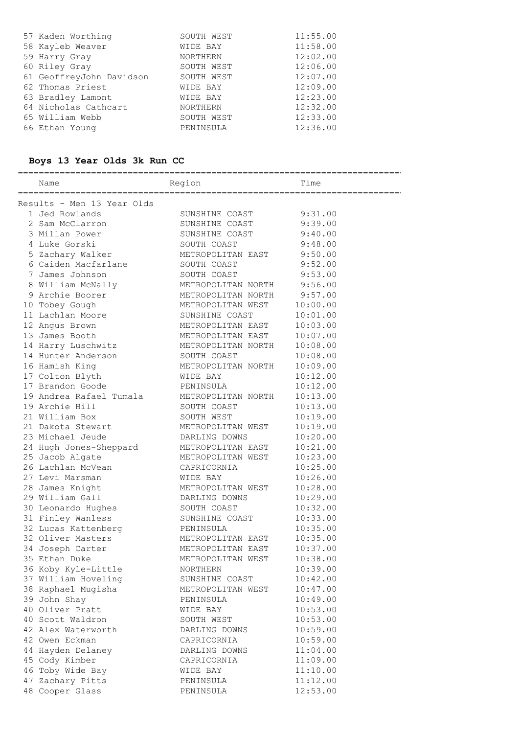| SOUTH WEST      | 11:55.00 |
|-----------------|----------|
| WIDE BAY        | 11:58.00 |
| <b>NORTHERN</b> | 12:02.00 |
| SOUTH WEST      | 12:06.00 |
| SOUTH WEST      | 12:07.00 |
| WIDE BAY        | 12:09.00 |
| WIDE BAY        | 12:23.00 |
| <b>NORTHERN</b> | 12:32.00 |
| SOUTH WEST      | 12:33.00 |
| PENINSULA       | 12:36.00 |
|                 |          |

# **Boys 13 Year Olds 3k Run CC**

| Name                                                                                         | <b>Example 1</b> Time<br>Region   |          |
|----------------------------------------------------------------------------------------------|-----------------------------------|----------|
| ===================================                                                          |                                   |          |
| Results - Men 13 Year Olds                                                                   |                                   |          |
| 1 Jed Rowlands                                                                               | SUNSHINE COAST                    | 9:31.00  |
| 2 Sam McClarron                                                                              | SUNSHINE COAST 9:39.00            |          |
| 3 Millan Power                                                                               | SUNSHINE COAST 9:40.00            |          |
| 4 Luke Gorski                                                                                | SOUTH COAST                       | 9:48.00  |
| 5 Zachary Walker                                                                             | METROPOLITAN EAST 9:50.00         |          |
| 6 Caiden Macfarlane SOUTH COAST                                                              |                                   | 9:52.00  |
| 7 James Johnson                                                                              | SOUTH COAST                       | 9:53.00  |
| 8 William McNally METROPOLITAN NORTH 9:56.00                                                 |                                   |          |
| 9 Archie Boorer                                                                              | METROPOLITAN NORTH 9:57.00        |          |
| 10 Tobey Gough                                                                               | METROPOLITAN WEST                 | 10:00.00 |
| 11 Lachlan Moore                                                                             | SUNSHINE COAST                    | 10:01.00 |
| 12 Angus Brown                                                                               | METROPOLITAN EAST                 | 10:03.00 |
| 13 James Booth                                                                               | METROPOLITAN EAST                 | 10:07.00 |
| 14 Harry Luschwitz                                                                           | METROPOLITAN NORTH<br>ACUTU COLOT | 10:08.00 |
| 14 Hunter Anderson                                                                           | SOUTH COAST                       | 10:08.00 |
| 16 Hamish King                                                                               | METROPOLITAN NORTH                | 10:09.00 |
| 17 Colton Blyth                                                                              | WIDE BAY                          | 10:12.00 |
| 17 Brandon Goode                                                                             | PENINSULA                         | 10:12.00 |
| 19 Andrea Rafael Tumala                                                                      | METROPOLITAN NORTH                | 10:13.00 |
| 19 Archie Hill                                                                               | SOUTH COAST                       | 10:13.00 |
| 21 William Box                                                                               | SOUTH WEST                        | 10:19.00 |
| 21 Dakota Stewart                                                                            | METROPOLITAN WEST                 | 10:19.00 |
| 23 Michael Jeude                                                                             | DARLING DOWNS                     | 10:20.00 |
| 24 Hugh Jones-Sheppard METROPOLITAN EAST                                                     |                                   | 10:21.00 |
| 25 Jacob Algate                                                                              | METROPOLITAN WEST                 | 10:23.00 |
| 26 Lachlan McVean                                                                            | CAPRICORNIA                       | 10:25.00 |
| 27 Levi Marsman                                                                              | WIDE BAY                          | 10:26.00 |
| 28 James Knight                                                                              | METROPOLITAN WEST                 | 10:28.00 |
| 29 William Gall                                                                              | DARLING DOWNS                     | 10:29.00 |
| 30 Leonardo Hughes                                                                           | SOUTH COAST                       | 10:32.00 |
| 31 Finley Wanless                                                                            | SUNSHINE COAST                    | 10:33.00 |
| 32 Lucas Kattenberg               PENINSULA<br>32 Oliver Masters           METROPOLITAN EAST | PENINSULA                         | 10:35.00 |
|                                                                                              |                                   | 10:35.00 |
| 34 Joseph Carter                                                                             | METROPOLITAN EAST                 | 10:37.00 |
| 35 Ethan Duke                                                                                | METROPOLITAN WEST                 | 10:38.00 |
| 36 Koby Kyle-Little                                                                          | NORTHERN                          | 10:39.00 |
| 37 William Hoveling                                                                          | SUNSHINE COAST                    | 10:42.00 |
| 38 Raphael Mugisha                                                                           | METROPOLITAN WEST                 | 10:47.00 |
| 39 John Shay                                                                                 | PENINSULA                         | 10:49.00 |
| 40 Oliver Pratt                                                                              | WIDE BAY                          | 10:53.00 |
| 40 Scott Waldron                                                                             | SOUTH WEST                        | 10:53.00 |
| 42 Alex Waterworth                                                                           | DARLING DOWNS                     | 10:59.00 |
| 42 Owen Eckman                                                                               | CAPRICORNIA                       | 10:59.00 |
| 44 Hayden Delaney                                                                            | DARLING DOWNS                     | 11:04.00 |
| 45 Cody Kimber                                                                               | CAPRICORNIA                       | 11:09.00 |
| 46 Toby Wide Bay                                                                             | WIDE BAY                          | 11:10.00 |
| 47 Zachary Pitts                                                                             | PENINSULA                         | 11:12.00 |
| 48 Cooper Glass                                                                              | PENINSULA                         | 12:53.00 |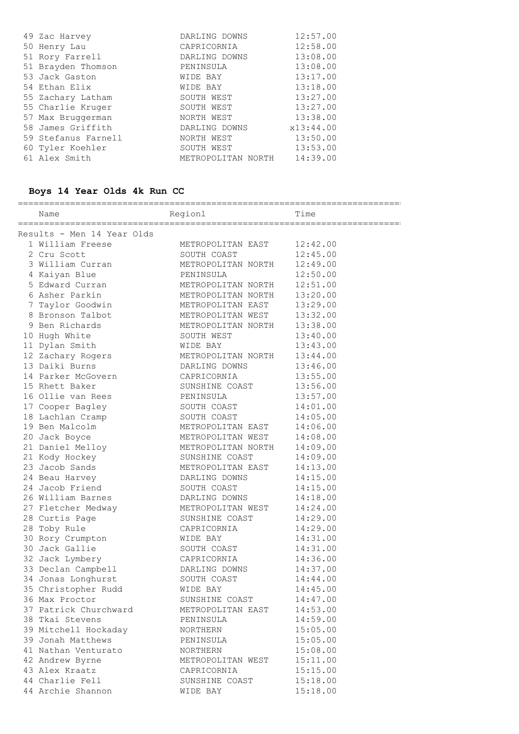| 49 Zac Harvey       | DARLING DOWNS      | 12:57.00  |
|---------------------|--------------------|-----------|
| 50 Henry Lau        | CAPRICORNIA        | 12:58.00  |
| 51 Rory Farrell     | DARLING DOWNS      | 13:08.00  |
| 51 Brayden Thomson  | PENINSULA          | 13:08.00  |
| 53 Jack Gaston      | WIDE BAY           | 13:17.00  |
| 54 Ethan Elix       | WIDE BAY           | 13:18.00  |
| 55 Zachary Latham   | SOUTH WEST         | 13:27.00  |
| 55 Charlie Kruger   | SOUTH WEST         | 13:27.00  |
| 57 Max Bruggerman   | NORTH WEST         | 13:38.00  |
| 58 James Griffith   | DARLING DOWNS      | x13:44.00 |
| 59 Stefanus Farnell | NORTH WEST         | 13:50.00  |
| 60 Tyler Koehler    | SOUTH WEST         | 13:53.00  |
| 61 Alex Smith       | METROPOLITAN NORTH | 14:39.00  |

# **Boys 14 Year Olds 4k Run CC**

|                                      | Name Time                                                           |          |
|--------------------------------------|---------------------------------------------------------------------|----------|
| Results - Men 14 Year Olds           |                                                                     |          |
|                                      | 1 William Freese METROPOLITAN EAST 12:42.00                         |          |
| 2 Cru Scott                          | SOUTH COAST                                                         | 12:45.00 |
| 3 William Curran                     | METROPOLITAN NORTH                                                  | 12:49.00 |
| 4 Kaiyan Blue                        | PENINSULA                                                           | 12:50.00 |
| 5 Edward Curran                      | METROPOLITAN NORTH                                                  | 12:51.00 |
| 6 Asher Parkin                       | METROPOLITAN NORTH                                                  | 13:20.00 |
| 7 Taylor Goodwin                     | METROPOLITAN EAST                                                   | 13:29.00 |
|                                      | 8 Bronson Talbot METROPOLITAN WEST                                  | 13:32.00 |
| 9 Ben Richards                       | METROPOLITAN NORTH                                                  | 13:38.00 |
| 10 Hugh White                        | SOUTH WEST                                                          | 13:40.00 |
| 11 Dylan Smith                       | WIDE BAY                                                            | 13:43.00 |
| 12 Zachary Rogers                    | METROPOLITAN NORTH                                                  | 13:44.00 |
| 13 Daiki Burns                       | DARLING DOWNS<br>CAPRICORNIA<br>SUNSHINE COAST<br>PENINSHI <i>I</i> | 13:46.00 |
| 14 Parker McGovern                   |                                                                     | 13:55.00 |
| 15 Rhett Baker                       |                                                                     | 13:56.00 |
| 16 Ollie van Rees                    | PENINSULA                                                           | 13:57.00 |
| 17 Cooper Bagley                     | SOUTH COAST                                                         | 14:01.00 |
| 18 Lachlan Cramp                     | SOUTH COAST                                                         | 14:05.00 |
| 19 Ben Malcolm                       | METROPOLITAN EAST                                                   | 14:06.00 |
| 20 Jack Boyce                        | METROPOLITAN WEST                                                   | 14:08.00 |
| 21 Daniel Melloy                     | METROPOLITAN NORTH 14:09.00                                         |          |
| 21 Kody Hockey                       | SUNSHINE COAST                                                      | 14:09.00 |
| 23 Jacob Sands                       | METROPOLITAN EAST                                                   | 14:13.00 |
| 24 Beau Harvey                       | DARLING DOWNS                                                       | 14:15.00 |
| 24 Jacob Friend                      | SOUTH COAST                                                         | 14:15.00 |
| 26 William Barnes                    | DARLING DOWNS                                                       | 14:18.00 |
| 27 Fletcher Medway METROPOLITAN WEST |                                                                     | 14:24.00 |
| 28 Curtis Page                       | SUNSHINE COAST                                                      | 14:29.00 |
| 28 Toby Rule                         | CAPRICORNIA                                                         | 14:29.00 |
| 30 Rory Crumpton                     | WIDE BAY                                                            | 14:31.00 |
| 30 Jack Gallie                       | SOUTH COAST                                                         | 14:31.00 |
| 32 Jack Lymbery                      | CAPRICORNIA                                                         | 14:36.00 |
| 33 Declan Campbell                   | DARLING DOWNS                                                       | 14:37.00 |
| 34 Jonas Longhurst                   | SOUTH COAST                                                         | 14:44.00 |
| 35 Christopher Rudd                  | WIDE BAY                                                            | 14:45.00 |
| 36 Max Proctor                       | SUNSHINE COAST                                                      | 14:47.00 |
| 37 Patrick Churchward                | METROPOLITAN EAST                                                   | 14:53.00 |
| 38 Tkai Stevens                      | PENINSULA                                                           | 14:59.00 |
| 39 Mitchell Hockaday                 | NORTHERN                                                            | 15:05.00 |
| 39 Jonah Matthews                    | PENINSULA                                                           | 15:05.00 |
| 41 Nathan Venturato                  | NORTHERN                                                            | 15:08.00 |
| 42 Andrew Byrne                      | METROPOLITAN WEST                                                   | 15:11.00 |
| 43 Alex Kraatz                       | CAPRICORNIA                                                         | 15:15.00 |
| 44 Charlie Fell                      | SUNSHINE COAST                                                      | 15:18.00 |
| 44 Archie Shannon                    | WIDE BAY                                                            | 15:18.00 |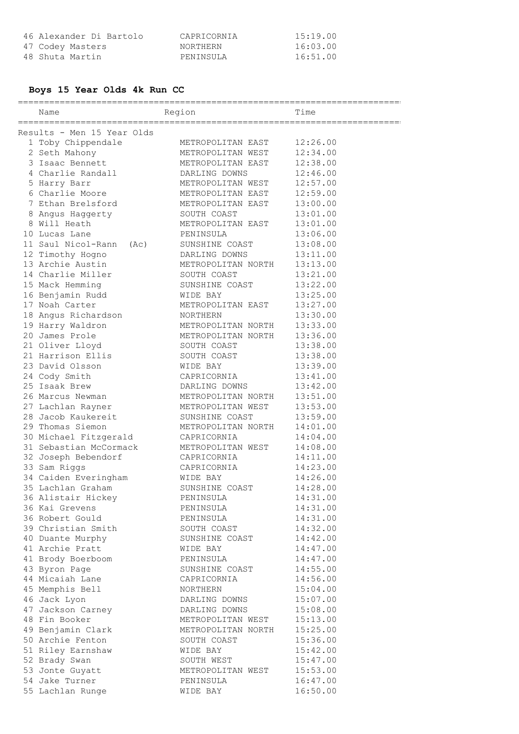| 46 Alexander Di Bartolo | CAPRICORNIA | 15:19.00 |
|-------------------------|-------------|----------|
| 47 Codey Masters        | NORTHERN    | 16:03.00 |
| 48 Shuta Martin         | PENINSULA   | 16:51.00 |

# **Boys 15 Year Olds 4k Run CC**

==========================================================================

| Name                                                | Region             | Time     |
|-----------------------------------------------------|--------------------|----------|
|                                                     |                    |          |
| Results - Men 15 Year Olds                          |                    |          |
| 1 Toby Chippendale                                  | METROPOLITAN EAST  | 12:26.00 |
| 2 Seth Mahony                                       | METROPOLITAN WEST  | 12:34.00 |
| 3 Isaac Bennett                                     | METROPOLITAN EAST  | 12:38.00 |
| 4 Charlie Randall                                   | DARLING DOWNS      | 12:46.00 |
| 5 Harry Barr                                        | METROPOLITAN WEST  | 12:57.00 |
| 6 Charlie Moore                                     | METROPOLITAN EAST  | 12:59.00 |
| 7 Ethan Brelsford                                   | METROPOLITAN EAST  | 13:00.00 |
|                                                     | SOUTH COAST        | 13:01.00 |
| 8 Angus Haggerty<br>8 Will Heath                    |                    |          |
|                                                     | METROPOLITAN EAST  | 13:01.00 |
| 10 Lucas Lane                                       | PENINSULA          | 13:06.00 |
| 11 Saul Nicol-Rann<br>(AC)                          | SUNSHINE COAST     | 13:08.00 |
| 12 Timothy Hogno                                    | DARLING DOWNS      | 13:11.00 |
| 13 Archie Austin                                    | METROPOLITAN NORTH | 13:13.00 |
| 14 Charlie Miller                                   | SOUTH COAST        | 13:21.00 |
| 15 Mack Hemming                                     | SUNSHINE COAST     | 13:22.00 |
| 16 Benjamin Rudd                                    | WIDE BAY           | 13:25.00 |
| 17 Noah Carter                                      | METROPOLITAN EAST  | 13:27.00 |
| 18 Angus Richardson                                 | NORTHERN           | 13:30.00 |
| 19 Harry Waldron                                    | METROPOLITAN NORTH | 13:33.00 |
| 20 James Prole                                      | METROPOLITAN NORTH | 13:36.00 |
| 21 Oliver Lloyd                                     | SOUTH COAST        | 13:38.00 |
| 21 Harrison Ellis                                   | SOUTH COAST        | 13:38.00 |
| 23 David Olsson                                     | WIDE BAY           | 13:39.00 |
| 24 Cody Smith                                       | CAPRICORNIA        | 13:41.00 |
| 25 Isaak Brew                                       | DARLING DOWNS      | 13:42.00 |
| 26 Marcus Newman                                    | METROPOLITAN NORTH | 13:51.00 |
| 27 Lachlan Rayner                                   | METROPOLITAN WEST  | 13:53.00 |
| 28 Jacob Kaukereit                                  | SUNSHINE COAST     | 13:59.00 |
| 29 Thomas Siemon                                    | METROPOLITAN NORTH | 14:01.00 |
| 30 Michael Fitzgerald                               | CAPRICORNIA        | 14:04.00 |
| 31 Sebastian McCormack                              | METROPOLITAN WEST  | 14:08.00 |
| 32 Joseph Bebendorf                                 | CAPRICORNIA        | 14:11.00 |
| 33 Sam Riggs                                        | CAPRICORNIA        | 14:23.00 |
| 34 Caiden Everingham                                | WIDE BAY           | 14:26.00 |
| 35 Lachlan Graham                                   | SUNSHINE COAST     | 14:28.00 |
| 36 Alistair Hickey                                  | PENINSULA          | 14:31.00 |
| 36 Kai Grevens                                      | PENINSULA          | 14:31.00 |
| 36 Robert Gould                                     | PENINSULA          | 14:31.00 |
| 39 Christian Smith                                  | SOUTH COAST        | 14:32.00 |
| 40 Duante Murphy                                    | SUNSHINE COAST     | 14:42.00 |
| 41 Archie Pratt                                     | WIDE BAY           | 14:47.00 |
| 41 Brody Boerboom                                   | PENINSULA          | 14:47.00 |
| 43 Byron Page                                       | SUNSHINE COAST     | 14:55.00 |
| 44 Micaiah Lane                                     | CAPRICORNIA        | 14:56.00 |
| 45 Memphis Bell                                     | NORTHERN           | 15:04.00 |
| 46 Jack Lyon                                        | DARLING DOWNS      | 15:07.00 |
|                                                     | DARLING DOWNS      | 15:08.00 |
| --<br>47 Jackson Carney<br><sup>48 Fin</sup> Booker | METROPOLITAN WEST  | 15:13.00 |
| 49 Benjamin Clark                                   | METROPOLITAN NORTH | 15:25.00 |
| 50 Archie Fenton                                    | SOUTH COAST        | 15:36.00 |
| 51 Riley Earnshaw                                   | WIDE BAY           | 15:42.00 |
| 52 Brady Swan                                       | SOUTH WEST         | 15:47.00 |
| 53 Jonte Guyatt                                     | METROPOLITAN WEST  | 15:53.00 |
| 54 Jake Turner                                      | PENINSULA          | 16:47.00 |
| 55 Lachlan Runge                                    | WIDE BAY           | 16:50.00 |
|                                                     |                    |          |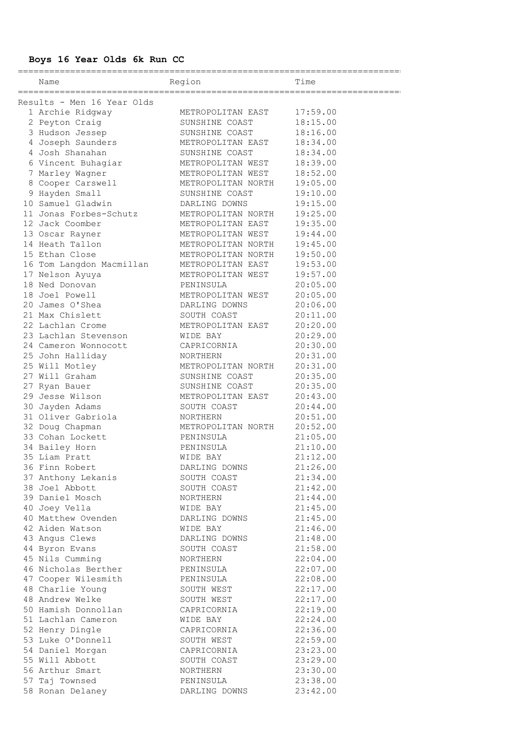# **Boys 16 Year Olds 6k Run CC**

==========================================================================

Time

| Results - Men 16 Year Olds                                                                                                                                                                                                                             |                            |          |
|--------------------------------------------------------------------------------------------------------------------------------------------------------------------------------------------------------------------------------------------------------|----------------------------|----------|
|                                                                                                                                                                                                                                                        |                            |          |
| 1 Archie Ridgway METROPOLITAN EAST 17:59.00<br>2 Peyton Craig (SUNSHINE COAST 18:15.00<br>3 Hudson Jessep (SUNSHINE COAST 18:16.00                                                                                                                     |                            |          |
|                                                                                                                                                                                                                                                        |                            |          |
| 4 Joseph Saunders METROPOLITAN EAST                                                                                                                                                                                                                    |                            | 18:34.00 |
| 4 Josh Shanahan                                                                                                                                                                                                                                        | SUNSHINE COAST             | 18:34.00 |
| 6 Vincent Buhagiar METROPOLITAN WEST                                                                                                                                                                                                                   |                            | 18:39.00 |
| 7 Marley Wagner                                                                                                                                                                                                                                        | METROPOLITAN WEST          | 18:52.00 |
| 8 Cooper Carswell METROPOLITAN NORTH 19:05.00                                                                                                                                                                                                          |                            |          |
| 9 Hayden Small<br>9 Hayden Small<br>10 Samuel Gladwin<br>11 Jonas Forbes-Schutz<br>12 Jack Coomber<br>13 Oscar Rayner<br>14 Heath Tallon<br>15 Ethan Close<br>16 Ton Langdon Macmillan<br>16 METROPOLITAN NORTH<br>16 Ton Langdon Macmillan<br>17 Ne   |                            | 19:10.00 |
|                                                                                                                                                                                                                                                        |                            | 19:15.00 |
|                                                                                                                                                                                                                                                        |                            | 19:25.00 |
|                                                                                                                                                                                                                                                        |                            | 19:35.00 |
|                                                                                                                                                                                                                                                        |                            | 19:44.00 |
|                                                                                                                                                                                                                                                        |                            | 19:45.00 |
|                                                                                                                                                                                                                                                        |                            | 19:50.00 |
|                                                                                                                                                                                                                                                        |                            | 19:53.00 |
|                                                                                                                                                                                                                                                        | METROPOLITAN WEST 19:57.00 |          |
| 17 Nelson Ayuya<br>18 Ned Donovan                                                                                                                                                                                                                      | PENINSULA                  | 20:05.00 |
| 18 Joel Powell                                                                                                                                                                                                                                         | METROPOLITAN WEST          | 20:05.00 |
| 20 James O'Shea DARLING DOWNS                                                                                                                                                                                                                          |                            | 20:06.00 |
| 21 Max Chislett SOUTH COAST                                                                                                                                                                                                                            |                            | 20:11.00 |
| 22 Lachlan Crome METROPOLITAN EAST                                                                                                                                                                                                                     |                            | 20:20.00 |
| 23 Lachlan Stevenson MIDE BAY                                                                                                                                                                                                                          |                            | 20:29.00 |
| 24 Cameron Wonnocott CAPRICORNIA                                                                                                                                                                                                                       |                            | 20:30.00 |
|                                                                                                                                                                                                                                                        |                            |          |
|                                                                                                                                                                                                                                                        |                            |          |
|                                                                                                                                                                                                                                                        |                            |          |
|                                                                                                                                                                                                                                                        |                            |          |
|                                                                                                                                                                                                                                                        |                            |          |
| 24 Cameron Wonnocott<br>25 John Halliday<br>25 Will Motley<br>27 Will Graham<br>27 Nyan Bauer<br>27 Ryan Bauer<br>29 Jesse Wilson<br>29 Jesse Wilson<br>30 Jayden Adams<br>31 Oliver Gabriola<br>32 Doug Chapman<br>33 Cohan Lockett<br>34 Pailou Mont |                            |          |
|                                                                                                                                                                                                                                                        |                            |          |
|                                                                                                                                                                                                                                                        |                            |          |
|                                                                                                                                                                                                                                                        |                            |          |
|                                                                                                                                                                                                                                                        | PENINSULA                  |          |
| 33 Cohan Lockett<br>34 Bailey Horn<br>35 Liam Pratt                                                                                                                                                                                                    |                            | 21:10.00 |
|                                                                                                                                                                                                                                                        | WIDE BAY                   | 21:12.00 |
| 36 Finn Robert                                                                                                                                                                                                                                         | DARLING DOWNS 21:26.00     |          |
| 37 Anthony Lekanis                                                                                                                                                                                                                                     | SOUTH COAST                | 21:34.00 |
| 38 Joel Abbott                                                                                                                                                                                                                                         | SOUTH COAST                | 21:42.00 |
| 39 Daniel Mosch                                                                                                                                                                                                                                        | NORTHERN                   | 21:44.00 |
| 40 Joey Vella                                                                                                                                                                                                                                          | WIDE BAY                   | 21:45.00 |
| 40 Matthew Ovenden                                                                                                                                                                                                                                     | DARLING DOWNS              | 21:45.00 |
| 42 Aiden Watson                                                                                                                                                                                                                                        | WIDE BAY                   | 21:46.00 |
| 43 Angus Clews                                                                                                                                                                                                                                         | DARLING DOWNS              | 21:48.00 |
| 44 Byron Evans                                                                                                                                                                                                                                         | SOUTH COAST                | 21:58.00 |
| 45 Nils Cumming                                                                                                                                                                                                                                        | NORTHERN                   | 22:04.00 |
| 46 Nicholas Berther                                                                                                                                                                                                                                    | PENINSULA                  | 22:07.00 |
| 47 Cooper Wilesmith                                                                                                                                                                                                                                    | PENINSULA                  | 22:08.00 |
| 48 Charlie Young                                                                                                                                                                                                                                       | SOUTH WEST                 | 22:17.00 |
| 48 Andrew Welke                                                                                                                                                                                                                                        | SOUTH WEST                 | 22:17.00 |
| 50 Hamish Donnollan                                                                                                                                                                                                                                    | CAPRICORNIA                | 22:19.00 |
| 51 Lachlan Cameron                                                                                                                                                                                                                                     | WIDE BAY                   | 22:24.00 |
| 52 Henry Dingle                                                                                                                                                                                                                                        | CAPRICORNIA                | 22:36.00 |
| 53 Luke O'Donnell                                                                                                                                                                                                                                      | SOUTH WEST                 | 22:59.00 |
| 54 Daniel Morgan                                                                                                                                                                                                                                       | CAPRICORNIA                | 23:23.00 |
| 55 Will Abbott                                                                                                                                                                                                                                         | SOUTH COAST                | 23:29.00 |
| 56 Arthur Smart                                                                                                                                                                                                                                        | NORTHERN                   | 23:30.00 |
| 57 Taj Townsed                                                                                                                                                                                                                                         | PENINSULA                  | 23:38.00 |
| 58 Ronan Delaney                                                                                                                                                                                                                                       | DARLING DOWNS              | 23:42.00 |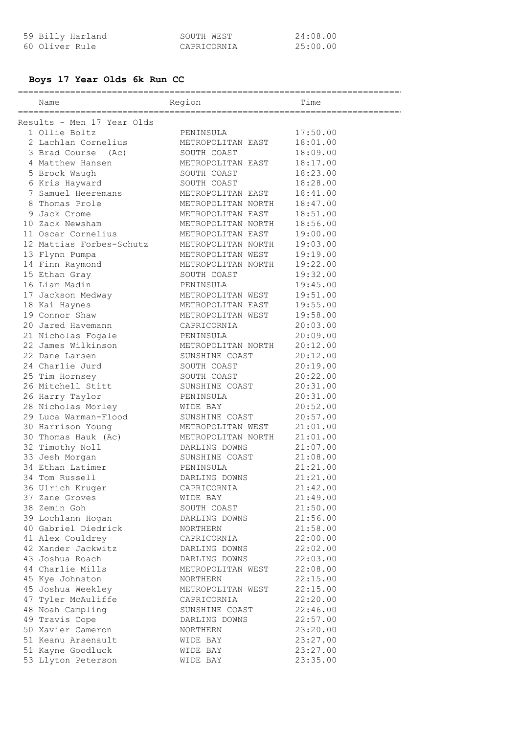| 59 Billy Harland | SOUTH WEST  | 24:08.00 |
|------------------|-------------|----------|
| 60 Oliver Rule   | CAPRICORNIA | 25:00.00 |

# **Boys 17 Year Olds 6k Run CC**

| Name                                 | Region                                  | Time                 |
|--------------------------------------|-----------------------------------------|----------------------|
| Results - Men 17 Year Olds           |                                         |                      |
| 1 Ollie Boltz                        | PENINSULA                               | 17:50.00             |
| 2 Lachlan Cornelius                  | METROPOLITAN EAST                       | 18:01.00             |
| 3 Brad Course (Ac)                   | SOUTH COAST                             | 18:09.00             |
| 4 Matthew Hansen                     | METROPOLITAN EAST                       | 18:17.00             |
|                                      | SOUTH COAST                             | 18:23.00             |
| 5 Brock Waugh                        |                                         |                      |
| 6 Kris Hayward<br>7 Samuel Heeremans | SOUTH COAST<br>METROPOLITAN EAST        | 18:28.00             |
| 8 Thomas Prole                       | METROPOLITAN NORTH                      | 18:41.00<br>18:47.00 |
| 9 Jack Crome                         | METROPOLITAN EAST                       |                      |
| 10 Zack Newsham                      |                                         | 18:51.00<br>18:56.00 |
| 11 Oscar Cornelius                   | METROPOLITAN NORTH<br>METROPOLITAN EAST |                      |
| 12 Mattias Forbes-Schutz             |                                         | 19:00.00             |
|                                      | METROPOLITAN NORTH                      | 19:03.00             |
| 13 Flynn Pumpa                       | METROPOLITAN WEST                       | 19:19.00             |
| 14 Finn Raymond                      | METROPOLITAN NORTH                      | 19:22.00             |
| 15 Ethan Gray                        | SOUTH COAST                             | 19:32.00             |
| 16 Liam Madin                        | PENINSULA                               | 19:45.00             |
| 17 Jackson Medway                    | METROPOLITAN WEST                       | 19:51.00             |
| 18 Kai Haynes                        | METROPOLITAN EAST                       | 19:55.00             |
| 19 Connor Shaw                       | METROPOLITAN WEST                       | 19:58.00             |
| 20 Jared Havemann                    | CAPRICORNIA                             | 20:03.00             |
| 21 Nicholas Fogale                   | PENINSULA                               | 20:09.00             |
| 22 James Wilkinson                   | METROPOLITAN NORTH                      | 20:12.00             |
| 22 Dane Larsen                       | SUNSHINE COAST                          | 20:12.00             |
| 24 Charlie Jurd                      | SOUTH COAST                             | 20:19.00             |
| 25 Tim Hornsey                       | SOUTH COAST                             | 20:22.00             |
| 26 Mitchell Stitt                    | SUNSHINE COAST                          | 20:31.00             |
| 26 Harry Taylor                      | PENINSULA                               | 20:31.00             |
| 28 Nicholas Morley                   | WIDE BAY                                | 20:52.00             |
| - .<br>29 Luca Warman-Flood          | SUNSHINE COAST                          | 20:57.00             |
| 30 Harrison Young                    | METROPOLITAN WEST                       | 21:01.00             |
| 30 Thomas Hauk (Ac)                  | METROPOLITAN NORTH                      | 21:01.00             |
| 32 Timothy Noll                      | DARLING DOWNS                           | 21:07.00             |
| 33 Jesh Morgan                       | SUNSHINE COAST                          | 21:08.00             |
| 34 Ethan Latimer                     | PENINSULA                               | 21:21.00             |
| 34 Tom Russell                       | DARLING DOWNS                           | 21:21.00             |
| 36 Ulrich Kruger                     | CAPRICORNIA                             | 21:42.00             |
| 37 Zane Groves                       | WIDE BAY                                | 21:49.00             |
| 38 Zemin Goh                         | SOUTH COAST                             | 21:50.00             |
| 39 Lochlann Hogan                    | DARLING DOWNS                           | 21:56.00             |
| 40 Gabriel Diedrick                  | NORTHERN                                | 21:58.00             |
| 41 Alex Couldrey                     | CAPRICORNIA                             | 22:00.00             |
| 42 Xander Jackwitz                   | DARLING DOWNS                           | 22:02.00             |
| 43 Joshua Roach                      | DARLING DOWNS                           | 22:03.00             |
| 44 Charlie Mills                     | METROPOLITAN WEST                       | 22:08.00             |
| 45 Kye Johnston                      | NORTHERN                                | 22:15.00             |
| 45 Joshua Weekley                    | METROPOLITAN WEST                       | 22:15.00             |
| 47 Tyler McAuliffe                   | CAPRICORNIA                             | 22:20.00             |
| 48 Noah Campling                     | SUNSHINE COAST                          | 22:46.00             |
| 49 Travis Cope                       | DARLING DOWNS                           | 22:57.00             |
| 50 Xavier Cameron                    | NORTHERN                                | 23:20.00             |
| 51 Keanu Arsenault                   | WIDE BAY                                | 23:27.00             |
| 51 Kayne Goodluck                    | WIDE BAY                                | 23:27.00             |
| 53 Llyton Peterson                   | WIDE BAY                                | 23:35.00             |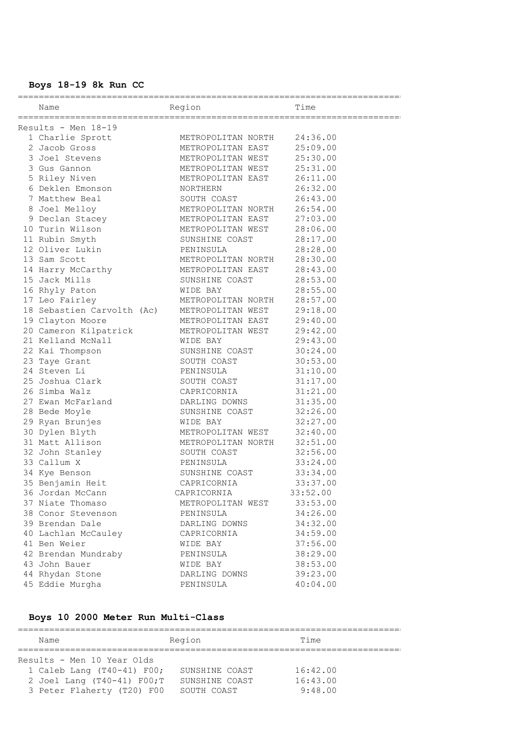### **Boys 18-19 8k Run CC**

| Name                       | Region                     | Time     |
|----------------------------|----------------------------|----------|
| Results - Men 18-19        |                            |          |
| 1 Charlie Sprott           | METROPOLITAN NORTH         | 24:36.00 |
| 2 Jacob Gross              | METROPOLITAN EAST          | 25:09.00 |
| 3 Joel Stevens             | METROPOLITAN WEST          | 25:30.00 |
| 3 Gus Gannon               | METROPOLITAN WEST          | 25:31.00 |
| 5 Riley Niven              | METROPOLITAN EAST          | 26:11.00 |
| 6 Deklen Emonson           | NORTHERN                   | 26:32.00 |
| 7 Matthew Beal             | SOUTH COAST                | 26:43.00 |
| 8 Joel Melloy              | METROPOLITAN NORTH         | 26:54.00 |
| 9 Declan Stacey            | METROPOLITAN EAST          | 27:03.00 |
| 10 Turin Wilson            | METROPOLITAN WEST          | 28:06.00 |
| 11 Rubin Smyth             | SUNSHINE COAST             | 28:17.00 |
| 12 Oliver Lukin            | PENINSULA                  | 28:28.00 |
| 13 Sam Scott               | METROPOLITAN NORTH         | 28:30.00 |
| 14 Harry McCarthy          | METROPOLITAN EAST          | 28:43.00 |
| 15 Jack Mills              | SUNSHINE COAST             | 28:53.00 |
| 16 Rhyly Paton             | WIDE BAY                   | 28:55.00 |
| 17 Leo Fairley             | METROPOLITAN NORTH         | 28:57.00 |
| 18 Sebastien Carvolth (Ac) | METROPOLITAN WEST          | 29:18.00 |
| 19 Clayton Moore           | METROPOLITAN EAST          | 29:40.00 |
| 20 Cameron Kilpatrick      | METROPOLITAN WEST 29:42.00 |          |
| 21 Kelland McNall          | WIDE BAY                   | 29:43.00 |
| 22 Kai Thompson            | SUNSHINE COAST             | 30:24.00 |
| 23 Taye Grant              | SOUTH COAST                | 30:53.00 |
| 24 Steven Li               | PENINSULA                  | 31:10.00 |
| 25 Joshua Clark            | SOUTH COAST                | 31:17.00 |
| 26 Simba Walz              | CAPRICORNIA                | 31:21.00 |
| 27 Ewan McFarland          | DARLING DOWNS              | 31:35.00 |
| 28 Bede Moyle              | SUNSHINE COAST             | 32:26.00 |
| 29 Ryan Brunjes            | WIDE BAY                   | 32:27.00 |
| 30 Dylen Blyth             | METROPOLITAN WEST          | 32:40.00 |
| 31 Matt Allison            | METROPOLITAN NORTH         | 32:51.00 |
| 32 John Stanley            | SOUTH COAST                | 32:56.00 |
| 33 Callum X                | PENINSULA                  | 33:24.00 |
| 34 Kye Benson              | SUNSHINE COAST             | 33:34.00 |
| 35 Benjamin Heit           | CAPRICORNIA                | 33:37.00 |
| 36 Jordan McCann           | CAPRICORNIA                | 33:52.00 |
| 37 Niate Thomaso           | METROPOLITAN WEST          | 33:53.00 |
| 38 Conor Stevenson         | PENINSULA                  | 34:26.00 |
| 39 Brendan Dale            | DARLING DOWNS              | 34:32.00 |
| 40 Lachlan McCauley        | CAPRICORNIA                | 34:59.00 |
| 41 Ben Weier               | WIDE BAY                   | 37:56.00 |
| 42 Brendan Mundraby        | PENINSULA                  | 38:29.00 |
| 43 John Bauer              | WIDE BAY                   | 38:53.00 |
| 44 Rhydan Stone            | DARLING DOWNS              | 39:23.00 |
| 45 Eddie Murgha            | PENINSULA                  | 40:04.00 |

### **Boys 10 2000 Meter Run Multi-Class**

========================================================================== Region Time ========================================================================== Results - Men 10 Year Olds 1 Caleb Lang (T40-41) F00; SUNSHINE COAST 16:42.00 2 Joel Lang (T40-41) F00;T SUNSHINE COAST 16:43.00 3 Peter Flaherty (T20) F00 SOUTH COAST 9:48.00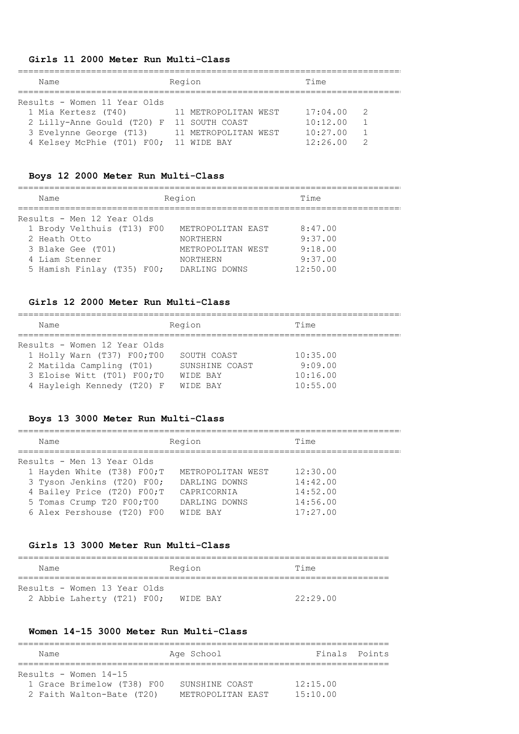### **Girls 11 2000 Meter Run Multi-Class**

| Name                                      | Region               | Time                       |  |
|-------------------------------------------|----------------------|----------------------------|--|
|                                           |                      |                            |  |
| Results - Women 11 Year Olds              |                      |                            |  |
| 1 Mia Kertesz (T40)                       | 11 METROPOLITAN WEST | 17:04.00<br>$\overline{2}$ |  |
| 2 Lilly-Anne Gould (T20) F 11 SOUTH COAST |                      | 10:12.00                   |  |
| 3 Evelynne George (T13)                   | 11 METROPOLITAN WEST | 10:27.00                   |  |
| 4 Kelsey McPhie (T01) F00;                | 11 WIDE BAY          | 12:26.00                   |  |

#### **Boys 12 2000 Meter Run Multi-Class**

==========================================================================

| Name                       | Region            | Time     |  |
|----------------------------|-------------------|----------|--|
| Results - Men 12 Year Olds |                   |          |  |
| 1 Brody Velthuis (T13) F00 | METROPOLITAN EAST | 8:47.00  |  |
| 2 Heath Otto               | <b>NORTHERN</b>   | 9:37.00  |  |
| 3 Blake Gee (T01)          | METROPOLITAN WEST | 9:18.00  |  |
| 4 Liam Stenner             | <b>NORTHERN</b>   | 9:37.00  |  |
| 5 Hamish Finlay (T35) F00; | DARLING DOWNS     | 12:50.00 |  |

#### **Girls 12 2000 Meter Run Multi-Class**

========================================================================== Name Region Region Time ========================================================================== Results - Women 12 Year Olds 1 Holly Warn (T37) F00;T00 SOUTH COAST 10:35.00 2 Matilda Campling (T01) SUNSHINE COAST 9:09.00 3 Eloise Witt (T01) F00;T0 WIDE BAY 10:16.00 4 Hayleigh Kennedy (T20) F WIDE BAY 10:55.00

#### **Boys 13 3000 Meter Run Multi-Class**

========================================================================== Name Region Region Time ========================================================================== Results - Men 13 Year Olds 1 Hayden White (T38) F00;T METROPOLITAN WEST 12:30.00 3 Tyson Jenkins (T20) F00; DARLING DOWNS 14:42.00 4 Bailey Price (T20) F00;T CAPRICORNIA 14:52.00 5 Tomas Crump T20 F00;T00 DARLING DOWNS 14:56.00 6 Alex Pershouse (T20) F00 WIDE BAY 17:27.00

#### **Girls 13 3000 Meter Run Multi-Class**

| Name                         | Region   | Time     |
|------------------------------|----------|----------|
| Results - Women 13 Year Olds |          |          |
| 2 Abbie Laherty (T21) F00;   | WIDE BAY | 22:29.00 |

### **Women 14-15 3000 Meter Run Multi-Class**

| Name |                                                                                    | Age School                          | Finals Points        |  |
|------|------------------------------------------------------------------------------------|-------------------------------------|----------------------|--|
|      | Results - Women $14-15$<br>1 Grace Brimelow (T38) F00<br>2 Faith Walton-Bate (T20) | SUNSHINE COAST<br>METROPOLITAN EAST | 12:15.00<br>15:10.00 |  |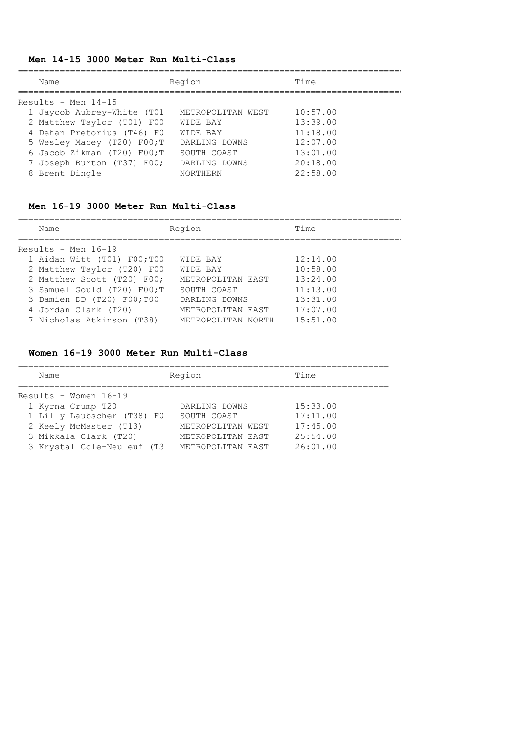# **Men 14-15 3000 Meter Run Multi-Class**

| Name                          | Region            | Time     |
|-------------------------------|-------------------|----------|
| Results - Men $14-15$         |                   |          |
| 1 Jaycob Aubrey-White (T01    | METROPOLITAN WEST | 10:57.00 |
| 2 Matthew Taylor (T01) F00    | WIDE BAY          | 13:39.00 |
| 4 Dehan Pretorius (T46) F0    | WIDE BAY          | 11:18.00 |
| 5 Wesley Macey (T20) F00; T   | DARLING DOWNS     | 12:07.00 |
| 6 Jacob Zikman $(T20)$ F00; T | SOUTH COAST       | 13:01.00 |
| 7 Joseph Burton (T37) F00;    | DARLING DOWNS     | 20:18.00 |
| 8 Brent Dingle                | <b>NORTHERN</b>   | 22:58.00 |

### **Men 16-19 3000 Meter Run Multi-Class**

==========================================================================

| Name                       | Region             | Time     |  |  |
|----------------------------|--------------------|----------|--|--|
| Results - Men $16-19$      |                    |          |  |  |
| 1 Aidan Witt (T01) F00;T00 | WIDE BAY           | 12:14.00 |  |  |
| 2 Matthew Taylor (T20) F00 | WIDE BAY           | 10:58.00 |  |  |
| 2 Matthew Scott (T20) F00; | METROPOLITAN EAST  | 13:24.00 |  |  |
| 3 Samuel Gould (T20) F00;T | SOUTH COAST        | 11:13.00 |  |  |
| 3 Damien DD (T20) F00;T00  | DARLING DOWNS      | 13:31.00 |  |  |
| 4 Jordan Clark (T20)       | METROPOLITAN EAST  | 17:07.00 |  |  |
| 7 Nicholas Atkinson (T38)  | METROPOLITAN NORTH | 15:51.00 |  |  |

# **Women 16-19 3000 Meter Run Multi-Class**

| Name                                                                                                                                                        | Region                                                                                      | Time                                                     |
|-------------------------------------------------------------------------------------------------------------------------------------------------------------|---------------------------------------------------------------------------------------------|----------------------------------------------------------|
| Results - Women $16-19$<br>1 Kyrna Crump T20<br>1 Lilly Laubscher (T38) F0<br>2 Keely McMaster (T13)<br>3 Mikkala Clark (T20)<br>3 Krystal Cole-Neuleuf (T3 | DARLING DOWNS<br>SOUTH COAST<br>METROPOLITAN WEST<br>METROPOLITAN EAST<br>METROPOLITAN EAST | 15:33.00<br>17:11.00<br>17:45.00<br>25:54.00<br>26:01.00 |